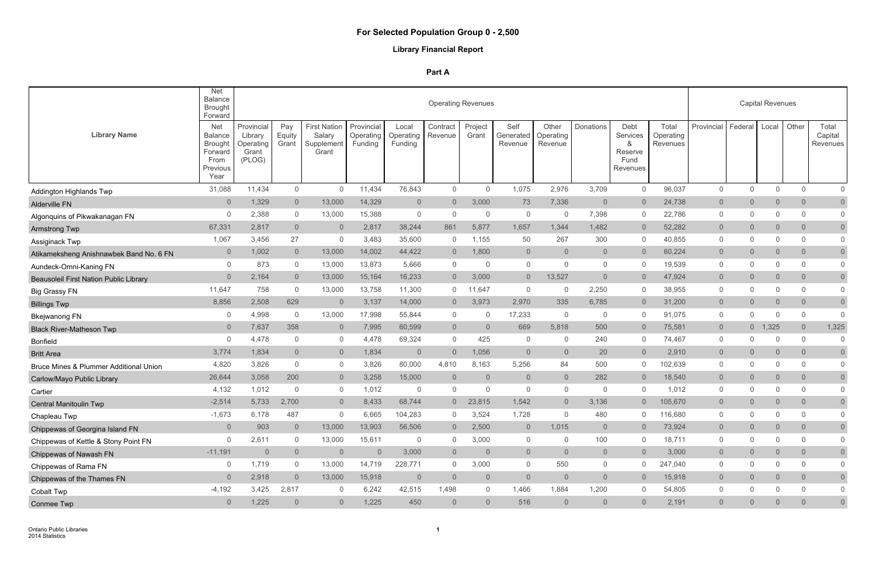# **Library Financial Report**

|                                                   | Net<br><b>Balance</b><br><b>Brought</b><br>Forward                                    |                                                       |                        |                                                      |                                    |                               | <b>Operating Revenues</b> |                  |                              |                               |                |                                                      |                                |                |                | <b>Capital Revenues</b> |                |                                     |
|---------------------------------------------------|---------------------------------------------------------------------------------------|-------------------------------------------------------|------------------------|------------------------------------------------------|------------------------------------|-------------------------------|---------------------------|------------------|------------------------------|-------------------------------|----------------|------------------------------------------------------|--------------------------------|----------------|----------------|-------------------------|----------------|-------------------------------------|
| <b>Library Name</b>                               | <b>Net</b><br><b>Balance</b><br><b>Brought</b><br>Forward<br>From<br>Previous<br>Year | Provincial<br>Library<br>Operating<br>Grant<br>(PLOG) | Pay<br>Equity<br>Grant | <b>First Nation</b><br>Salary<br>Supplement<br>Grant | Provincial<br>Operating<br>Funding | Local<br>Operating<br>Funding | Contract<br>Revenue       | Project<br>Grant | Self<br>Generated<br>Revenue | Other<br>Operating<br>Revenue | Donations      | Debt<br>Services<br>&<br>Reserve<br>Fund<br>Revenues | Total<br>Operating<br>Revenues | Provincial     | Federal        | Local                   | Other          | Total<br>Capital<br><b>Revenues</b> |
| <b>Addington Highlands Twp</b>                    | 31,088                                                                                | 11,434                                                | 0                      | $\overline{0}$                                       | 11,434                             | 76,843                        | $\overline{0}$            | $\overline{0}$   | 1,075                        | 2,976                         | 3,709          | $\overline{0}$                                       | 96,037                         | $\mathsf{O}$   | 0              | $\mathbf 0$             | $\overline{0}$ | $\mathbf 0$                         |
| <b>Alderville FN</b>                              | $\overline{0}$                                                                        | 1,329                                                 | $\overline{0}$         | 13,000                                               | 14,329                             | $\overline{0}$                | $\overline{0}$            | 3,000            | 73                           | 7,336                         | $\overline{0}$ | $\overline{0}$                                       | 24,738                         | $\overline{0}$ | $\overline{0}$ | $\overline{0}$          | $\overline{0}$ | $\overline{0}$                      |
| Algonquins of Pikwakanagan FN                     | $\Omega$                                                                              | 2,388                                                 | 0                      | 13,000                                               | 15,388                             | $\overline{0}$                | $\Omega$                  | $\overline{0}$   | $\overline{0}$               | $\Omega$                      | 7,398          | $\overline{0}$                                       | 22,786                         | $\mathsf{O}$   | $\mathbf 0$    | $\Omega$                | $\Omega$       | $\mathbf 0$                         |
| <b>Armstrong Twp</b>                              | 67,331                                                                                | 2,817                                                 | $\overline{0}$         | $\overline{0}$                                       | 2,817                              | 38,244                        | 861                       | 5,877            | 1,657                        | 1,344                         | 1,482          | $\overline{0}$                                       | 52,282                         | $\overline{0}$ | $\overline{0}$ | $\overline{0}$          | $\overline{0}$ | $\overline{0}$                      |
| Assiginack Twp                                    | 1,067                                                                                 | 3,456                                                 | 27                     | 0                                                    | 3,483                              | 35,600                        | $\Omega$                  | 1,155            | 50                           | 267                           | 300            | $\overline{0}$                                       | 40,855                         | 0              | $\mathbf 0$    | $\mathbf 0$             | $\mathbf{0}$   | $\overline{0}$                      |
| Atikameksheng Anishnawbek Band No. 6 FN           | $\overline{0}$                                                                        | 1,002                                                 | $\overline{0}$         | 13,000                                               | 14,002                             | 44,422                        | $\overline{0}$            | 1,800            | $\overline{0}$               | $\overline{0}$                | $\overline{0}$ | $\overline{0}$                                       | 60,224                         | $\overline{0}$ | $\overline{0}$ | $\overline{0}$          | $\overline{0}$ | $\overline{0}$                      |
| Aundeck-Omni-Kaning FN                            | $\mathbf{0}$                                                                          | 873                                                   | 0                      | 13,000                                               | 13,873                             | 5,666                         | $\Omega$                  | 0                | $\overline{0}$               | $\Omega$                      | $\overline{0}$ | $\overline{0}$                                       | 19,539                         | 0              | $\mathbf 0$    | $\Omega$                | $\mathbf{0}$   | $\mathbf 0$                         |
| <b>Beausoleil First Nation Public Library</b>     | $\overline{0}$                                                                        | 2,164                                                 | $\overline{0}$         | 13,000                                               | 15,164                             | 16,233                        | $\overline{0}$            | 3,000            | $\overline{0}$               | 13,527                        | $\overline{0}$ | $\overline{0}$                                       | 47,924                         | $\overline{0}$ | $\overline{0}$ | $\overline{0}$          | $\overline{0}$ | $\overline{0}$                      |
| <b>Big Grassy FN</b>                              | 11,647                                                                                | 758                                                   | 0                      | 13,000                                               | 13,758                             | 11,300                        | $\overline{0}$            | 1,647            | $\overline{0}$               | 0                             | 2,250          | $\overline{0}$                                       | 38,955                         | 0              | $\mathbf 0$    | $\mathbf 0$             | $\mathbf{0}$   | $\mathbf 0$                         |
| <b>Billings Twp</b>                               | 8,856                                                                                 | 2,508                                                 | 629                    | $\overline{0}$                                       | 3,137                              | 14,000                        | $\overline{0}$            | 3,973            | 2,970                        | 335                           | 6,785          | $\overline{0}$                                       | 31,200                         | $\overline{0}$ | $\overline{0}$ | $\overline{0}$          | $\overline{0}$ | $\overline{0}$                      |
| <b>Bkejwanong FN</b>                              | 0                                                                                     | 4,998                                                 | 0                      | 13,000                                               | 17,998                             | 55,844                        | 0                         | 0                | 17,233                       | 0                             | $\overline{0}$ | $\overline{0}$                                       | 91,075                         | $\mathbf{0}$   | $\mathbf{0}$   | $\mathbf 0$             | 0              | $\Omega$                            |
| <b>Black River-Matheson Twp</b>                   | $\overline{0}$                                                                        | 7,637                                                 | 358                    | $\overline{0}$                                       | 7,995                              | 60,599                        | $\overline{0}$            | $\overline{0}$   | 669                          | 5,818                         | 500            | $\overline{0}$                                       | 75,581                         | $\overline{0}$ | $0-1$          | 1,325                   | $\overline{0}$ | 1,325                               |
| <b>Bonfield</b>                                   | $\mathbf{0}$                                                                          | 4,478                                                 | $\boldsymbol{0}$       | $\overline{0}$                                       | 4,478                              | 69,324                        | $\mathbf{0}$              | 425              | $\overline{0}$               | $\Omega$                      | 240            | $\overline{0}$                                       | 74,467                         | 0              | $\mathbf{0}$   | $\mathbf 0$             | $\mathbf{0}$   | $\Omega$                            |
| <b>Britt Area</b>                                 | 3,774                                                                                 | 1,834                                                 | $\overline{0}$         | $\overline{0}$                                       | 1,834                              | $\overline{0}$                | $\overline{0}$            | 1,056            | $\Omega$                     | $\overline{0}$                | 20             | $\overline{0}$                                       | 2,910                          | $\overline{0}$ | $\overline{0}$ | $\overline{0}$          | $\Omega$       | $\overline{0}$                      |
| <b>Bruce Mines &amp; Plummer Additional Union</b> | 4,820                                                                                 | 3,826                                                 | 0                      | $\overline{0}$                                       | 3,826                              | 80,000                        | 4,810                     | 8,163            | 5,256                        | 84                            | 500            | $\overline{0}$                                       | 102,639                        | $\mathbf{0}$   | $\mathbf 0$    | $\mathbf 0$             | $\mathbf{0}$   | $\overline{0}$                      |
| Carlow/Mayo Public Library                        | 26,644                                                                                | 3,058                                                 | 200                    | $\overline{0}$                                       | 3,258                              | 15,000                        | $\overline{0}$            | $\overline{0}$   | -0                           | $\overline{0}$                | 282            | $\overline{0}$                                       | 18,540                         | $\overline{0}$ | $\overline{0}$ | $\overline{0}$          | $\overline{0}$ | $\overline{0}$                      |
| Cartier                                           | 4,132                                                                                 | 1,012                                                 | $\mathbf 0$            | $\overline{0}$                                       | 1,012                              | - 0                           | $\Omega$                  | 0                | $\overline{0}$               | $\Omega$                      | $\overline{0}$ | $\overline{0}$                                       | 1,012                          | $\mathbf{0}$   | $\mathbf 0$    | $\mathbf 0$             | $\mathbf{0}$   | $\mathbf 0$                         |
| <b>Central Manitoulin Twp</b>                     | $-2,514$                                                                              | 5,733                                                 | 2,700                  | $\Omega$                                             | 8,433                              | 68,744                        |                           | 23,815           | 1,542                        | $\overline{0}$                | 3,136          | $\Omega$                                             | 105,670                        | $\Omega$       | $\Omega$       | $\overline{0}$          | $\Omega$       | $\overline{0}$                      |
| Chapleau Twp                                      | $-1,673$                                                                              | 6,178                                                 | 487                    | 0                                                    | 6,665                              | 104,283                       | $\overline{0}$            | 3,524            | 1,728                        | $\Omega$                      | 480            | 0                                                    | 116,680                        | $\mathbf{0}$   | $\Omega$       | $\overline{0}$          | $\overline{0}$ |                                     |
| Chippewas of Georgina Island FN                   | $\overline{0}$                                                                        | 903                                                   | $\overline{0}$         | 13,000                                               | 13,903                             | 56,506                        | $\overline{0}$            | 2,500            | $\overline{0}$               | 1,015                         | $\overline{0}$ | $\overline{0}$                                       | 73,924                         | $\overline{0}$ | $\overline{0}$ | $\overline{0}$          | $\overline{0}$ | $\overline{0}$                      |
| Chippewas of Kettle & Stony Point FN              | 0                                                                                     | 2,611                                                 | 0                      | 13,000                                               | 15,611                             | $\overline{0}$                | $\overline{0}$            | 3,000            | $\overline{0}$               | $\Omega$                      | 100            | $\overline{0}$                                       | 18,711                         | $\mathbf 0$    | $\mathbf{0}$   | $\Omega$                | $\mathbf{0}$   | $\overline{0}$                      |
| Chippewas of Nawash FN                            | $-11,191$                                                                             | $\overline{0}$                                        | $\overline{0}$         | $\overline{0}$                                       | $\overline{0}$                     | 3,000                         | $\overline{0}$            | $\overline{0}$   | $\overline{0}$               | $\overline{0}$                | $\overline{0}$ | $\overline{0}$                                       | 3,000                          | $\overline{0}$ | $\overline{0}$ | $\overline{0}$          | $\overline{0}$ | $\overline{0}$                      |
| Chippewas of Rama FN                              | 0                                                                                     | 1,719                                                 | 0                      | 13,000                                               | 14,719                             | 228,771                       | $\overline{0}$            | 3,000            | $\overline{0}$               | 550                           | $\overline{0}$ | $\overline{0}$                                       | 247,040                        | $\overline{0}$ | 0              | $\mathbf 0$             | $\overline{0}$ | $\mathbf 0$                         |
| Chippewas of the Thames FN                        | $\overline{0}$                                                                        | 2,918                                                 | $\overline{0}$         | 13,000                                               | 15,918                             | $\overline{0}$                | $\overline{0}$            | $\overline{0}$   | $\overline{0}$               | $\overline{0}$                | $\overline{0}$ | $\overline{0}$                                       | 15,918                         | $\overline{0}$ | $\overline{0}$ | $\overline{0}$          | $\overline{0}$ | $\overline{0}$                      |
| Cobalt Twp                                        | $-4,192$                                                                              | 3,425                                                 | 2,817                  | $\overline{0}$                                       | 6,242                              | 42,515                        | 1,498                     | $\overline{0}$   | 1,466                        | 1,884                         | 1,200          | $\overline{0}$                                       | 54,805                         | 0              | 0              | $\mathbf 0$             | $\overline{0}$ | $\mathbf 0$                         |
| Conmee Twp                                        | $\overline{0}$                                                                        | 1,225                                                 | $\overline{0}$         | $\overline{0}$                                       | 1,225                              | 450                           | $\overline{0}$            | $\overline{0}$   | 516                          | $\overline{0}$                | $\overline{0}$ | $\overline{0}$                                       | 2,191                          | $\overline{0}$ | $\overline{0}$ | $\overline{0}$          | $\overline{0}$ | $\overline{0}$                      |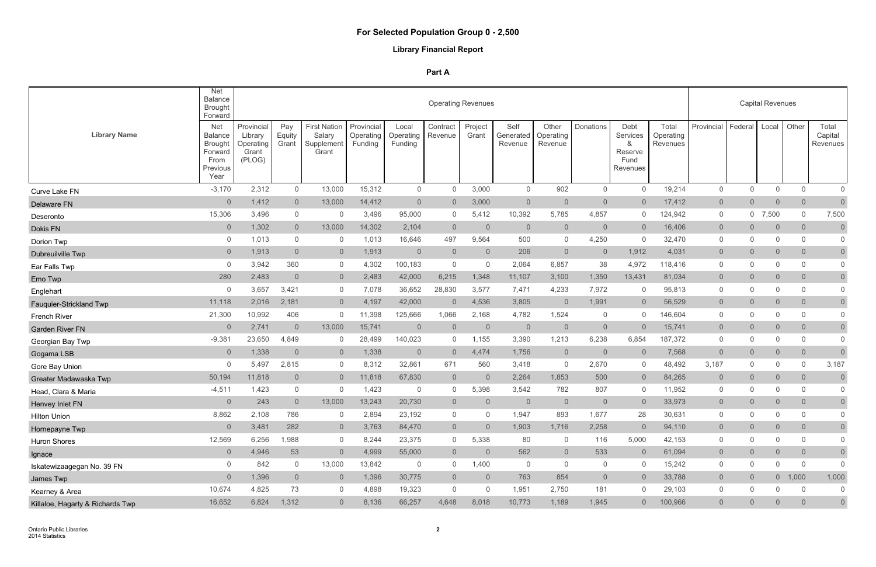# **Library Financial Report**

|                                  | <b>Net</b><br><b>Balance</b><br><b>Brought</b><br>Forward                             |                                                       |                        |                                                      |                                    |                               | <b>Operating Revenues</b> |                  |                              |                               |                |                                                      |                                |                |                | <b>Capital Revenues</b> |                 |                                     |
|----------------------------------|---------------------------------------------------------------------------------------|-------------------------------------------------------|------------------------|------------------------------------------------------|------------------------------------|-------------------------------|---------------------------|------------------|------------------------------|-------------------------------|----------------|------------------------------------------------------|--------------------------------|----------------|----------------|-------------------------|-----------------|-------------------------------------|
| <b>Library Name</b>              | <b>Net</b><br><b>Balance</b><br><b>Brought</b><br>Forward<br>From<br>Previous<br>Year | Provincial<br>Library<br>Operating<br>Grant<br>(PLOG) | Pay<br>Equity<br>Grant | <b>First Nation</b><br>Salary<br>Supplement<br>Grant | Provincial<br>Operating<br>Funding | Local<br>Operating<br>Funding | Contract<br>Revenue       | Project<br>Grant | Self<br>Generated<br>Revenue | Other<br>Operating<br>Revenue | Donations      | Debt<br>Services<br>&<br>Reserve<br>Fund<br>Revenues | Total<br>Operating<br>Revenues | Provincial     | Federal        | Local                   | Other           | Total<br>Capital<br><b>Revenues</b> |
| Curve Lake FN                    | $-3,170$                                                                              | 2,312                                                 | $\overline{0}$         | 13,000                                               | 15,312                             | $\overline{0}$                | $\mathbf{0}$              | 3,000            | $\overline{0}$               | 902                           | $\overline{0}$ | $\overline{0}$                                       | 19,214                         | $\mathsf{O}$   | 0              | $\overline{0}$          | $\overline{0}$  | $\mathbf 0$                         |
| Delaware FN                      | $\overline{0}$                                                                        | 1,412                                                 | $\overline{0}$         | 13,000                                               | 14,412                             | $\overline{0}$                | $\overline{0}$            | 3,000            | $\overline{0}$               | $\overline{0}$                | $\overline{0}$ | $\overline{0}$                                       | 17,412                         | $\overline{0}$ | $\overline{0}$ | $\overline{0}$          | $\overline{0}$  | $\overline{0}$                      |
| Deseronto                        | 15,306                                                                                | 3,496                                                 | 0                      | $\overline{0}$                                       | 3,496                              | 95,000                        | $\mathbf{0}$              | 5,412            | 10,392                       | 5,785                         | 4,857          | $\overline{0}$                                       | 124,942                        | $\mathsf{O}$   |                | $0$ 7,500               | $\mathbf{0}$    | 7,500                               |
| Dokis FN                         | $\overline{0}$                                                                        | 1,302                                                 | $\overline{0}$         | 13,000                                               | 14,302                             | 2,104                         | $\overline{0}$            | $\overline{0}$   | $\overline{0}$               | $\overline{0}$                | $\overline{0}$ | $\overline{0}$                                       | 16,406                         | $\overline{0}$ | $\overline{0}$ | $\overline{0}$          | $\overline{0}$  | $\overline{0}$                      |
| Dorion Twp                       | 0                                                                                     | 1,013                                                 | 0                      | $\overline{0}$                                       | 1,013                              | 16,646                        | 497                       | 9,564            | 500                          | $\overline{0}$                | 4,250          | $\overline{0}$                                       | 32,470                         | 0              | 0              | $\mathbf 0$             | $\mathbf{0}$    | $\overline{0}$                      |
| Dubreuilville Twp                | $\overline{0}$                                                                        | 1,913                                                 | $\overline{0}$         | $\overline{0}$                                       | 1,913                              | $\overline{0}$                | $\overline{0}$            | $\overline{0}$   | 206                          | $\overline{0}$                | $\overline{0}$ | 1,912                                                | 4,031                          | $\overline{0}$ | $\overline{0}$ | $\overline{0}$          | $\overline{0}$  | $\overline{0}$                      |
| Ear Falls Twp                    | $\mathbf{0}$                                                                          | 3,942                                                 | 360                    | $\overline{0}$                                       | 4,302                              | 100,183                       | $\overline{0}$            | $\overline{0}$   | 2,064                        | 6,857                         | 38             | 4,972                                                | 118,416                        | 0              | 0              | 0                       | $\mathbf{0}$    | $\overline{0}$                      |
| Emo Twp                          | 280                                                                                   | 2,483                                                 | $\overline{0}$         | $\overline{0}$                                       | 2,483                              | 42,000                        | 6,215                     | 1,348            | 11,107                       | 3,100                         | 1,350          | 13,431                                               | 81,034                         | $\overline{0}$ | $\overline{0}$ | $\overline{0}$          | $\overline{0}$  | $\overline{0}$                      |
| Englehart                        | $\overline{0}$                                                                        | 3,657                                                 | 3,421                  | $\overline{0}$                                       | 7,078                              | 36,652                        | 28,830                    | 3,577            | 7,471                        | 4,233                         | 7,972          | $\overline{0}$                                       | 95,813                         | 0              | $\mathbf 0$    | $\mathbf 0$             | $\mathbf{0}$    | $\mathbf 0$                         |
| <b>Fauquier-Strickland Twp</b>   | 11,118                                                                                | 2,016                                                 | 2,181                  | $\overline{0}$                                       | 4,197                              | 42,000                        | $\overline{0}$            | 4,536            | 3,805                        | $\overline{0}$                | 1,991          | $\overline{0}$                                       | 56,529                         | $\overline{0}$ | $\overline{0}$ | $\overline{0}$          | $\overline{0}$  | $\overline{0}$                      |
| <b>French River</b>              | 21,300                                                                                | 10,992                                                | 406                    | $\overline{0}$                                       | 11,398                             | 125,666                       | 1,066                     | 2,168            | 4,782                        | 1,524                         | $\overline{0}$ | $\overline{0}$                                       | 146,604                        | $\mathbf{0}$   | 0              | $\mathbf 0$             | 0               | $\overline{0}$                      |
| <b>Garden River FN</b>           | $\overline{0}$                                                                        | 2,741                                                 | $\overline{0}$         | 13,000                                               | 15,741                             | $\overline{0}$                | $\overline{0}$            | $\overline{0}$   | $\overline{0}$               | $\overline{0}$                | $\overline{0}$ | $\overline{0}$                                       | 15,741                         | $\overline{0}$ | $\overline{0}$ | $\mathsf{O}\xspace$     | $\overline{0}$  | $\overline{0}$                      |
| Georgian Bay Twp                 | $-9,381$                                                                              | 23,650                                                | 4,849                  | $\overline{0}$                                       | 28,499                             | 140,023                       | $\overline{0}$            | 1,155            | 3,390                        | 1,213                         | 6,238          | 6,854                                                | 187,372                        | $\mathsf{O}$   | $\mathbf 0$    | 0                       | $\mathbf 0$     | $\mathbf 0$                         |
| Gogama LSB                       | $\overline{0}$                                                                        | 1,338                                                 | $\mathbf 0$            | $\overline{0}$                                       | 1,338                              | $\overline{0}$                | $\overline{0}$            | 4,474            | 1,756                        | $\overline{0}$                | $\overline{0}$ | $\overline{0}$                                       | 7,568                          | $\overline{0}$ | $\overline{0}$ | $\overline{0}$          | $\overline{0}$  | $\overline{0}$                      |
| Gore Bay Union                   | $\overline{0}$                                                                        | 5,497                                                 | 2,815                  | $\overline{0}$                                       | 8,312                              | 32,861                        | 671                       | 560              | 3,418                        | $\overline{0}$                | 2,670          | $\overline{0}$                                       | 48,492                         | 3,187          | 0              | 0                       | $\mathbf{0}$    | 3,187                               |
| Greater Madawaska Twp            | 50,194                                                                                | 11,818                                                | $\overline{0}$         | $\overline{0}$                                       | 11,818                             | 67,830                        | $\overline{0}$            | $\overline{0}$   | 2,264                        | 1,853                         | 500            | $\overline{0}$                                       | 84,265                         | $\overline{0}$ | $\overline{0}$ | $\overline{0}$          | $\overline{0}$  | $\overline{0}$                      |
| Head, Clara & Maria              | $-4,511$                                                                              | 1,423                                                 | $\boldsymbol{0}$       | $\overline{0}$                                       | 1,423                              | - 0                           | $\mathbf{0}$              | 5,398            | 3,542                        | 782                           | 807            | $\overline{0}$                                       | 11,952                         | 0              | 0              | 0                       | $\mathbf{0}$    | $\overline{0}$                      |
| Henvey Inlet FN                  | $\overline{0}$                                                                        | 243                                                   | $\overline{0}$         | 13,000                                               | 13,243                             | 20,730                        | $\overline{0}$            | $\overline{0}$   | $\overline{0}$               | $\overline{0}$                | $\overline{0}$ | $\overline{0}$                                       | 33,973                         | $\overline{0}$ | $\overline{0}$ | 0                       | $\Omega$        | $\overline{0}$                      |
| <b>Hilton Union</b>              | 8,862                                                                                 | 2,108                                                 | 786                    | 0                                                    | 2,894                              | 23,192                        | $\mathbf{0}$              | $\Omega$         | 1,947                        | 893                           | 1,677          | 28                                                   | 30,631                         | $\mathbf{0}$   | $\Omega$       | $\overline{0}$          | $\overline{0}$  |                                     |
| Hornepayne Twp                   | $\overline{0}$                                                                        | 3,481                                                 | 282                    | $\overline{0}$                                       | 3,763                              | 84,470                        | $\overline{0}$            | $\overline{0}$   | 1,903                        | 1,716                         | 2,258          | $\overline{0}$                                       | 94,110                         | $\overline{0}$ | $\overline{0}$ | $\overline{0}$          | $\overline{0}$  | $\overline{0}$                      |
| Huron Shores                     | 12,569                                                                                | 6,256                                                 | 1,988                  | $\overline{0}$                                       | 8,244                              | 23,375                        | $\overline{0}$            | 5,338            | 80                           | $\overline{0}$                | 116            | 5,000                                                | 42,153                         | $\mathbf 0$    | $\mathbf 0$    | $\Omega$                | $\mathbf{0}$    | $\overline{0}$                      |
| Ignace                           | $\overline{0}$                                                                        | 4,946                                                 | 53                     | $\overline{0}$                                       | 4,999                              | 55,000                        | $\overline{0}$            | $\overline{0}$   | 562                          | $\overline{0}$                | 533            | $\overline{0}$                                       | 61,094                         | $\overline{0}$ | $\overline{0}$ | $\overline{0}$          | $\overline{0}$  | $\overline{0}$                      |
| Iskatewizaagegan No. 39 FN       | $\overline{0}$                                                                        | 842                                                   | $\mathsf{O}$           | 13,000                                               | 13,842                             | $\overline{0}$                | $\overline{0}$            | 1,400            | $\overline{0}$               | $\overline{0}$                | $\overline{0}$ | $\overline{0}$                                       | 15,242                         | $\overline{0}$ | 0              | $\mathbf 0$             | $\overline{0}$  | $\overline{0}$                      |
| James Twp                        | $\overline{0}$                                                                        | 1,396                                                 | $\overline{0}$         | $\overline{0}$                                       | 1,396                              | 30,775                        | $\overline{0}$            | $\overline{0}$   | 763                          | 854                           | $\overline{0}$ | $\overline{0}$                                       | 33,788                         | $\overline{0}$ | $\overline{0}$ |                         | $0 \quad 1,000$ | 1,000                               |
| Kearney & Area                   | 10,674                                                                                | 4,825                                                 | 73                     | $\overline{0}$                                       | 4,898                              | 19,323                        | $\overline{0}$            | $\mathbf 0$      | 1,951                        | 2,750                         | 181            | $\overline{0}$                                       | 29,103                         | $\mathsf{O}$   | 0              | $\mathbf 0$             | $\overline{0}$  | $\mathbf 0$                         |
| Killaloe, Hagarty & Richards Twp | 16,652                                                                                | 6,824                                                 | 1,312                  | $\overline{0}$                                       | 8,136                              | 66,257                        | 4,648                     | 8,018            | 10,773                       | 1,189                         | 1,945          | $\overline{0}$                                       | 100,966                        | $\overline{0}$ | $\overline{0}$ | $\overline{0}$          | $\overline{0}$  | $\mathsf{O}\xspace$                 |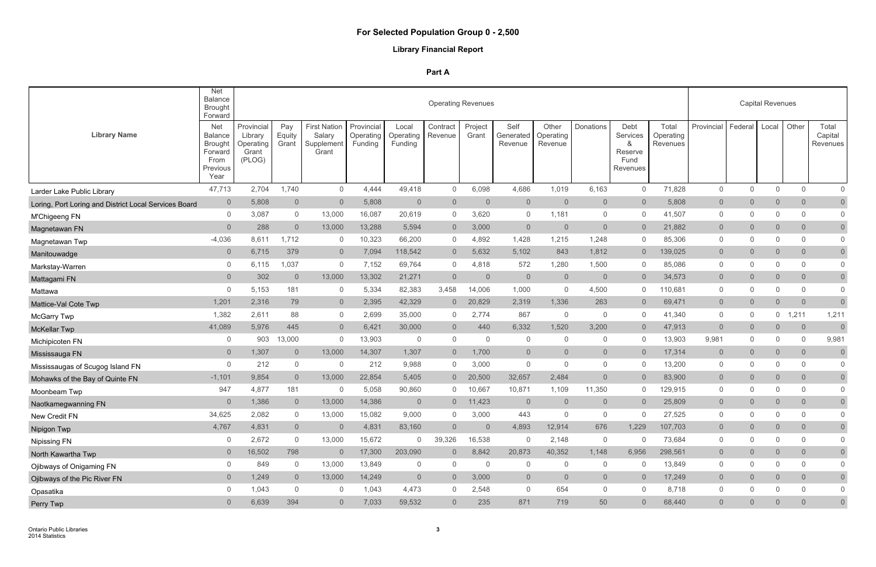# **Library Financial Report**

|                                                       | Net<br>Balance<br><b>Brought</b><br>Forward                                           |                                                       |                        |                                                      |                                    |                               | <b>Operating Revenues</b> |                  |                              |                               |                |                                                      |                                |                |                | <b>Capital Revenues</b> |                |                              |
|-------------------------------------------------------|---------------------------------------------------------------------------------------|-------------------------------------------------------|------------------------|------------------------------------------------------|------------------------------------|-------------------------------|---------------------------|------------------|------------------------------|-------------------------------|----------------|------------------------------------------------------|--------------------------------|----------------|----------------|-------------------------|----------------|------------------------------|
| <b>Library Name</b>                                   | <b>Net</b><br><b>Balance</b><br><b>Brought</b><br>Forward<br>From<br>Previous<br>Year | Provincial<br>Library<br>Operating<br>Grant<br>(PLOG) | Pay<br>Equity<br>Grant | <b>First Nation</b><br>Salary<br>Supplement<br>Grant | Provincial<br>Operating<br>Funding | Local<br>Operating<br>Funding | Contract<br>Revenue       | Project<br>Grant | Self<br>Generated<br>Revenue | Other<br>Operating<br>Revenue | Donations      | Debt<br>Services<br>&<br>Reserve<br>Fund<br>Revenues | Total<br>Operating<br>Revenues | Provincial     | Federal        | Local                   | Other          | Total<br>Capital<br>Revenues |
| Larder Lake Public Library                            | 47,713                                                                                | 2,704                                                 | 1,740                  | $\overline{0}$                                       | 4,444                              | 49,418                        | $\mathbf 0$               | 6,098            | 4,686                        | 1,019                         | 6,163          | $\overline{0}$                                       | 71,828                         | $\mathsf{O}$   | $\mathbf{0}$   | $\mathbf 0$             | $\mathbf 0$    | $\overline{0}$               |
| Loring, Port Loring and District Local Services Board | $\overline{0}$                                                                        | 5,808                                                 | $\overline{0}$         | $\overline{0}$                                       | 5,808                              | $\overline{0}$                | $\overline{0}$            | $\overline{0}$   | $\overline{0}$               | $\overline{0}$                | $\overline{0}$ | $\overline{0}$                                       | 5,808                          | $\overline{0}$ | $\overline{0}$ | $\overline{0}$          | $\overline{0}$ | $\overline{0}$               |
| M'Chigeeng FN                                         | $\overline{0}$                                                                        | 3,087                                                 | 0                      | 13,000                                               | 16,087                             | 20,619                        | $\mathbf{0}$              | 3,620            | $\overline{0}$               | 1,181                         | $\overline{0}$ | $\overline{0}$                                       | 41,507                         | $\mathsf{O}$   | 0              | $\Omega$                | $\mathbf 0$    | $\mathbf 0$                  |
| Magnetawan FN                                         | $\overline{0}$                                                                        | 288                                                   | $\overline{0}$         | 13,000                                               | 13,288                             | 5,594                         | $\overline{0}$            | 3,000            | $\overline{0}$               | $\overline{0}$                | $\overline{0}$ | $\overline{0}$                                       | 21,882                         | $\overline{0}$ | $\overline{0}$ | $\overline{0}$          | $\overline{0}$ | $\overline{0}$               |
| Magnetawan Twp                                        | $-4,036$                                                                              | 8,611                                                 | 1,712                  | 0                                                    | 10,323                             | 66,200                        | 0                         | 4,892            | 1,428                        | 1,215                         | 1,248          | $\overline{0}$                                       | 85,306                         | 0              | $\mathbf 0$    | $\mathbf 0$             | $\mathbf{0}$   | $\overline{0}$               |
| Manitouwadge                                          | $\overline{0}$                                                                        | 6,715                                                 | 379                    | $\overline{0}$                                       | 7,094                              | 118,542                       | $\overline{0}$            | 5,632            | 5,102                        | 843                           | 1,812          | $\overline{0}$                                       | 139,025                        | $\overline{0}$ | $\overline{0}$ | $\overline{0}$          | $\overline{0}$ | $\overline{0}$               |
| Markstay-Warren                                       | $\mathbf{0}$                                                                          | 6,115                                                 | 1,037                  | $\overline{0}$                                       | 7,152                              | 69,764                        | $\Omega$                  | 4,818            | 572                          | 1,280                         | 1,500          | $\overline{0}$                                       | 85,086                         | 0              | $\mathbf 0$    | $\Omega$                | $\mathbf{0}$   | $\mathbf 0$                  |
| Mattagami FN                                          | $\overline{0}$                                                                        | 302                                                   | $\overline{0}$         | 13,000                                               | 13,302                             | 21,271                        | $\overline{0}$            | $\overline{0}$   | $\overline{0}$               | $\overline{0}$                | $\overline{0}$ | $\overline{0}$                                       | 34,573                         | $\overline{0}$ | $\overline{0}$ | $\overline{0}$          | $\overline{0}$ | $\overline{0}$               |
| Mattawa                                               | 0                                                                                     | 5,153                                                 | 181                    | $\overline{0}$                                       | 5,334                              | 82,383                        | 3,458                     | 14,006           | 1,000                        | $\overline{0}$                | 4,500          | $\overline{0}$                                       | 110,681                        | 0              | $\mathbf 0$    | $\mathbf 0$             | $\mathbf{0}$   | $\mathbf 0$                  |
| Mattice-Val Cote Twp                                  | 1,201                                                                                 | 2,316                                                 | 79                     | $\overline{0}$                                       | 2,395                              | 42,329                        | $\overline{0}$            | 20,829           | 2,319                        | 1,336                         | 263            | $\overline{0}$                                       | 69,471                         | $\overline{0}$ | $\overline{0}$ | $\overline{0}$          | $\overline{0}$ | $\overline{0}$               |
| <b>McGarry Twp</b>                                    | 1,382                                                                                 | 2,611                                                 | 88                     | $\overline{0}$                                       | 2,699                              | 35,000                        | $\mathbf{0}$              | 2,774            | 867                          | $\overline{0}$                | $\overline{0}$ | $\overline{0}$                                       | 41,340                         | 0              | 0              | 0                       | 1,211          | 1,211                        |
| <b>McKellar Twp</b>                                   | 41,089                                                                                | 5,976                                                 | 445                    | $\overline{0}$                                       | 6,421                              | 30,000                        | $\overline{0}$            | 440              | 6,332                        | 1,520                         | 3,200          | $\overline{0}$                                       | 47,913                         | $\Omega$       | $\overline{0}$ | 0                       | $\overline{0}$ | $\overline{0}$               |
| Michipicoten FN                                       | 0                                                                                     | 903                                                   | 13,000                 | $\overline{0}$                                       | 13,903                             | $\overline{0}$                | $\overline{0}$            | $\mathbf 0$      | $\overline{0}$               | $\overline{0}$                | $\overline{0}$ | $\overline{0}$                                       | 13,903                         | 9,981          | 0              | 0                       | 0              | 9,981                        |
| Mississauga FN                                        | $\overline{0}$                                                                        | 1,307                                                 | $\overline{0}$         | 13,000                                               | 14,307                             | 1,307                         | $\overline{0}$            | 1,700            | $\overline{0}$               | $\overline{0}$                | $\overline{0}$ | $\overline{0}$                                       | 17,314                         | $\overline{0}$ | $\overline{0}$ | $\mathsf{O}\xspace$     | $\overline{0}$ | $\overline{0}$               |
| Mississaugas of Scugog Island FN                      | $\Omega$                                                                              | 212                                                   | 0                      | $\overline{0}$                                       | 212                                | 9,988                         | $\overline{0}$            | 3,000            | $\overline{0}$               | $\Omega$                      | $\overline{0}$ | $\overline{0}$                                       | 13,200                         | 0              | 0              | 0                       | $\mathbf{0}$   | $\overline{0}$               |
| Mohawks of the Bay of Quinte FN                       | $-1,101$                                                                              | 9,854                                                 | $\overline{0}$         | 13,000                                               | 22,854                             | 5,405                         |                           | 20,500           | 32,657                       | 2,484                         | $\overline{0}$ | $\overline{0}$                                       | 83,900                         | $\overline{0}$ | $\overline{0}$ | $\overline{0}$          | $\overline{0}$ | $\overline{0}$               |
| Moonbeam Twp                                          | 947                                                                                   | 4,877                                                 | 181                    | $\mathsf{O}\xspace$                                  | 5,058                              | 90,860                        |                           | 10,667           | 10,871                       | 1,109                         | 11,350         | 0                                                    | 129,915                        | 0              | $\mathbf 0$    | 0                       | 0              | $\mathbf 0$                  |
| Naotkamegwanning FN                                   | $\overline{0}$                                                                        | 1,386                                                 | $\overline{0}$         | 13,000                                               | 14,386                             | $\overline{0}$                | $\overline{0}$            | 11,423           | $\overline{0}$               | $\overline{0}$                | $\overline{0}$ | $\overline{0}$                                       | 25,809                         | $\overline{0}$ | $\overline{0}$ | $\Omega$                | $\Omega$       | $\overline{0}$               |
| New Credit FN                                         | 34,625                                                                                | 2,082                                                 | $\mathbf{0}$           | 13,000                                               | 15,082                             | 9,000                         | $\Omega$                  | 3,000            | 443                          | $\Omega$                      | $\overline{0}$ | $\overline{0}$                                       | 27,525                         | $\mathbf{0}$   | $\Omega$       | $\Omega$                | $\Omega$       |                              |
| Nipigon Twp                                           | 4,767                                                                                 | 4,831                                                 | $\overline{0}$         | $\overline{0}$                                       | 4,831                              | 83,160                        | $\overline{0}$            | $\overline{0}$   | 4,893                        | 12,914                        | 676            | 1,229                                                | 107,703                        | $\overline{0}$ | $\overline{0}$ | $\overline{0}$          | $\overline{0}$ | $\overline{0}$               |
| Nipissing FN                                          | 0                                                                                     | 2,672                                                 | $\mathbf 0$            | 13,000                                               | 15,672                             | $\overline{0}$                | 39,326                    | 16,538           | $\Omega$                     | 2,148                         | $\overline{0}$ | $\overline{0}$                                       | 73,684                         | $\mathbf 0$    | 0              | 0                       | $\mathbf{0}$   | $\overline{0}$               |
| North Kawartha Twp                                    | $\overline{0}$                                                                        | 16,502                                                | 798                    | $\overline{0}$                                       | 17,300                             | 203,090                       | $\overline{0}$            | 8,842            | 20,873                       | 40,352                        | 1,148          | 6,956                                                | 298,561                        | $\overline{0}$ | $\overline{0}$ | $\overline{0}$          | $\overline{0}$ | $\overline{0}$               |
| Ojibways of Onigaming FN                              | $\boldsymbol{0}$                                                                      | 849                                                   | $\overline{0}$         | 13,000                                               | 13,849                             | $\overline{0}$                | $\overline{0}$            | $\overline{0}$   | $\overline{0}$               | $\overline{0}$                | $\overline{0}$ | $\overline{0}$                                       | 13,849                         | $\mathbf 0$    | 0              | $\overline{0}$          | $\mathbf 0$    | $\overline{0}$               |
| Ojibways of the Pic River FN                          | $\overline{0}$                                                                        | 1,249                                                 | $\overline{0}$         | 13,000                                               | 14,249                             | $\overline{0}$                | $\overline{0}$            | 3,000            | $\overline{0}$               | $\overline{0}$                | $\overline{0}$ | $\overline{0}$                                       | 17,249                         | $\overline{0}$ | $\overline{0}$ | $\overline{0}$          | $\overline{0}$ | $\overline{0}$               |
| Opasatika                                             | 0                                                                                     | 1,043                                                 | $\mathsf{O}$           | $\overline{0}$                                       | 1,043                              | 4,473                         | $\overline{0}$            | 2,548            | $\overline{0}$               | 654                           | $\overline{0}$ | $\overline{0}$                                       | 8,718                          | $\mathsf{O}$   | 0              | $\mathbf 0$             | $\mathbf 0$    | $\overline{0}$               |
| Perry Twp                                             | $\overline{0}$                                                                        | 6,639                                                 | 394                    | $\overline{0}$                                       | 7,033                              | 59,532                        | $\overline{0}$            | 235              | 871                          | 719                           | 50             | $\overline{0}$                                       | 68,440                         | $\overline{0}$ | $\overline{0}$ | $\overline{0}$          | $\overline{0}$ | $\overline{0}$               |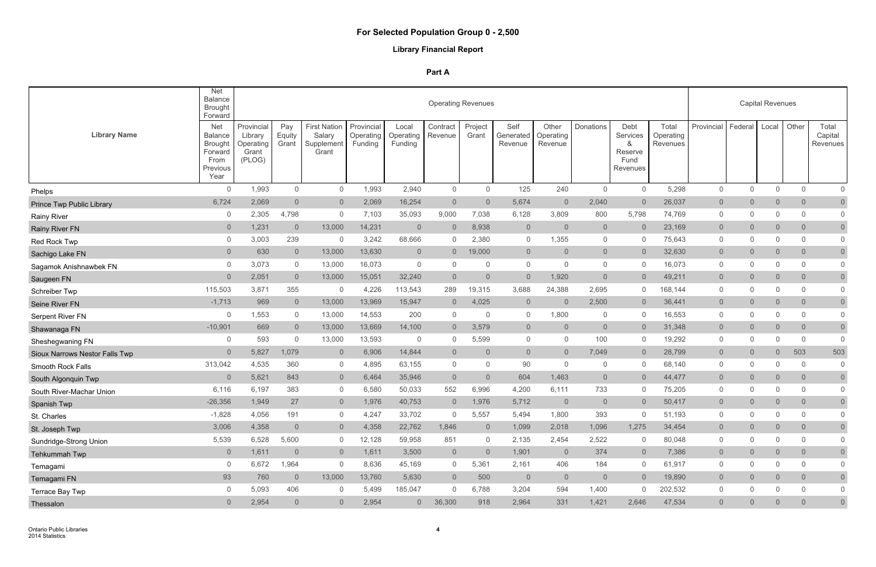# **Library Financial Report**

|                                       | <b>Net</b><br><b>Balance</b><br><b>Brought</b><br>Forward                             |                                                       |                        |                                                      |                                    |                               |                     | <b>Operating Revenues</b> |                              |                               |                |                                                      |                                |                |                | <b>Capital Revenues</b> |                |                                     |
|---------------------------------------|---------------------------------------------------------------------------------------|-------------------------------------------------------|------------------------|------------------------------------------------------|------------------------------------|-------------------------------|---------------------|---------------------------|------------------------------|-------------------------------|----------------|------------------------------------------------------|--------------------------------|----------------|----------------|-------------------------|----------------|-------------------------------------|
| <b>Library Name</b>                   | <b>Net</b><br><b>Balance</b><br><b>Brought</b><br>Forward<br>From<br>Previous<br>Year | Provincial<br>Library<br>Operating<br>Grant<br>(PLOG) | Pay<br>Equity<br>Grant | <b>First Nation</b><br>Salary<br>Supplement<br>Grant | Provincial<br>Operating<br>Funding | Local<br>Operating<br>Funding | Contract<br>Revenue | Project<br>Grant          | Self<br>Generated<br>Revenue | Other<br>Operating<br>Revenue | Donations      | Debt<br>Services<br>&<br>Reserve<br>Fund<br>Revenues | Total<br>Operating<br>Revenues | Provincial     | Federal        | Local                   | Other          | Total<br>Capital<br><b>Revenues</b> |
| Phelps                                | $\mathbf 0$                                                                           | 1,993                                                 | 0                      | $\overline{0}$                                       | 1,993                              | 2,940                         | $\overline{0}$      | $\mathbf 0$               | 125                          | 240                           | $\overline{0}$ | $\overline{0}$                                       | 5,298                          | $\mathsf{O}$   | 0              | $\mathbf 0$             | $\overline{0}$ | $\mathbf 0$                         |
| Prince Twp Public Library             | 6,724                                                                                 | 2,069                                                 | $\sqrt{0}$             | $\overline{0}$                                       | 2,069                              | 16,254                        | $\overline{0}$      | $\overline{0}$            | 5,674                        | $\overline{0}$                | 2,040          | $\overline{0}$                                       | 26,037                         | $\overline{0}$ | $\overline{0}$ | $\overline{0}$          | $\overline{0}$ | $\overline{0}$                      |
| <b>Rainy River</b>                    | 0                                                                                     | 2,305                                                 | 4,798                  | $\overline{0}$                                       | 7,103                              | 35,093                        | 9,000               | 7,038                     | 6,128                        | 3,809                         | 800            | 5,798                                                | 74,769                         | $\mathsf{O}$   | $\mathbf 0$    | $\Omega$                | $\Omega$       | $\mathbf 0$                         |
| <b>Rainy River FN</b>                 | $\overline{0}$                                                                        | 1,231                                                 | $\overline{0}$         | 13,000                                               | 14,231                             | $\overline{0}$                | $\overline{0}$      | 8,938                     | $\overline{0}$               | $\overline{0}$                | $\overline{0}$ | $\overline{0}$                                       | 23,169                         | $\overline{0}$ | $\overline{0}$ | $\overline{0}$          | $\overline{0}$ | $\overline{0}$                      |
| Red Rock Twp                          | 0                                                                                     | 3,003                                                 | 239                    | 0                                                    | 3,242                              | 68,666                        | $\mathbf{0}$        | 2,380                     | $\overline{0}$               | 1,355                         | $\overline{0}$ | $\overline{0}$                                       | 75,643                         | 0              | $\mathbf 0$    | $\mathbf 0$             | $\mathbf{0}$   | $\overline{0}$                      |
| Sachigo Lake FN                       | $\overline{0}$                                                                        | 630                                                   | $\overline{0}$         | 13,000                                               | 13,630                             | $\overline{0}$                | $\overline{0}$      | 19,000                    | $\overline{0}$               | $\overline{0}$                | $\overline{0}$ | $\overline{0}$                                       | 32,630                         | $\overline{0}$ | $\overline{0}$ | $\overline{0}$          | $\overline{0}$ | $\overline{0}$                      |
| Sagamok Anishnawbek FN                | $\mathbf{0}$                                                                          | 3,073                                                 | 0                      | 13,000                                               | 16,073                             | $\overline{0}$                | $\Omega$            | 0                         | $\overline{0}$               | $\Omega$                      | $\overline{0}$ | $\overline{0}$                                       | 16,073                         | 0              | $\mathbf 0$    | $\Omega$                | $\mathbf{0}$   | $\overline{0}$                      |
| Saugeen FN                            | $\overline{0}$                                                                        | 2,051                                                 | $\overline{0}$         | 13,000                                               | 15,051                             | 32,240                        | $\overline{0}$      | $\overline{0}$            | $\overline{0}$               | 1,920                         | $\overline{0}$ | $\overline{0}$                                       | 49,211                         | $\overline{0}$ | $\overline{0}$ | $\overline{0}$          | $\overline{0}$ | $\overline{0}$                      |
| Schreiber Twp                         | 115,503                                                                               | 3,871                                                 | 355                    | $\overline{0}$                                       | 4,226                              | 113,543                       | 289                 | 19,315                    | 3,688                        | 24,388                        | 2,695          | $\overline{0}$                                       | 168,144                        | 0              | $\mathbf 0$    | $\mathbf 0$             | $\mathbf{0}$   | $\mathbf 0$                         |
| Seine River FN                        | $-1,713$                                                                              | 969                                                   | $\overline{0}$         | 13,000                                               | 13,969                             | 15,947                        | $\overline{0}$      | 4,025                     | $\overline{0}$               | $\overline{0}$                | 2,500          | $\overline{0}$                                       | 36,441                         | $\overline{0}$ | $\overline{0}$ | $\overline{0}$          | $\overline{0}$ | $\overline{0}$                      |
| Serpent River FN                      | 0                                                                                     | 1,553                                                 | 0                      | 13,000                                               | 14,553                             | 200                           | 0                   | 0                         | $\overline{0}$               | 1,800                         | $\overline{0}$ | $\overline{0}$                                       | 16,553                         | $\mathbf{0}$   | $\mathbf 0$    | $\mathbf 0$             | 0              | $\overline{0}$                      |
| Shawanaga FN                          | $-10,901$                                                                             | 669                                                   | $\overline{0}$         | 13,000                                               | 13,669                             | 14,100                        | $\overline{0}$      | 3,579                     | $\overline{0}$               | $\overline{0}$                | $\overline{0}$ | $\overline{0}$                                       | 31,348                         | $\overline{0}$ | $\overline{0}$ | $\mathsf{O}\xspace$     | $\overline{0}$ | $\overline{0}$                      |
| Sheshegwaning FN                      | 0                                                                                     | 593                                                   | $\mathbf 0$            | 13,000                                               | 13,593                             | $\overline{0}$                | $\mathbf{0}$        | 5,599                     | $\overline{0}$               | $\mathbf{0}$                  | 100            | $\overline{0}$                                       | 19,292                         | $\mathsf{O}$   | 0              | 0                       | $\mathbf{0}$   | $\Omega$                            |
| <b>Sioux Narrows Nestor Falls Twp</b> | $\overline{0}$                                                                        | 5,827                                                 | 1,079                  | $\overline{0}$                                       | 6,906                              | 14,844                        | $\overline{0}$      | $\overline{0}$            | $\overline{0}$               | $\overline{0}$                | 7,049          | $\overline{0}$                                       | 28,799                         | $\overline{0}$ | $\overline{0}$ | 0                       | 503            | 503                                 |
| <b>Smooth Rock Falls</b>              | 313,042                                                                               | 4,535                                                 | 360                    | $\overline{0}$                                       | 4,895                              | 63,155                        | $\overline{0}$      | $\overline{0}$            | 90                           | $\Omega$                      | $\overline{0}$ | $\overline{0}$                                       | 68,140                         | 0              | $\mathbf 0$    | 0                       | $\mathbf{0}$   | $\overline{0}$                      |
| South Algonquin Twp                   | $\overline{0}$                                                                        | 5,621                                                 | 843                    | $\overline{0}$                                       | 6,464                              | 35,946                        | $\overline{0}$      | $\overline{0}$            | 604                          | 1,463                         | $\overline{0}$ | $\overline{0}$                                       | 44,477                         | $\overline{0}$ | $\overline{0}$ | $\overline{0}$          | $\overline{0}$ | $\overline{0}$                      |
| South River-Machar Union              | 6,116                                                                                 | 6,197                                                 | 383                    | $\overline{0}$                                       | 6,580                              | 50,033                        | 552                 | 6,996                     | 4,200                        | 6,111                         | 733            | $\overline{0}$                                       | 75,205                         | $\mathbf{0}$   | $\mathbf 0$    | 0                       | $\mathbf{0}$   | $\overline{0}$                      |
| Spanish Twp                           | $-26,356$                                                                             | 1,949                                                 | 27                     | $\Omega$                                             | 1,976                              | 40,753                        |                     | 1,976                     | 5,712                        | $\overline{0}$                | $\overline{0}$ | $\Omega$                                             | 50,417                         | $\Omega$       | $\overline{0}$ | 0                       | $\Omega$       | $\overline{0}$                      |
| St. Charles                           | $-1,828$                                                                              | 4,056                                                 | 191                    | 0                                                    | 4,247                              | 33,702                        | $\Omega$            | 5,557                     | 5,494                        | 1,800                         | 393            | $\overline{0}$                                       | 51,193                         | $\mathbf{0}$   | $\Omega$       | $\overline{0}$          | $\overline{0}$ |                                     |
| St. Joseph Twp                        | 3,006                                                                                 | 4,358                                                 | $\overline{0}$         | $\overline{0}$                                       | 4,358                              | 22,762                        | 1,846               | $\overline{0}$            | 1,099                        | 2,018                         | 1,096          | 1,275                                                | 34,454                         | $\overline{0}$ | $\overline{0}$ | $\overline{0}$          | $\overline{0}$ | $\overline{0}$                      |
| Sundridge-Strong Union                | 5,539                                                                                 | 6,528                                                 | 5,600                  | $\overline{0}$                                       | 12,128                             | 59,958                        | 851                 | $\mathbf 0$               | 2,135                        | 2,454                         | 2,522          | $\overline{0}$                                       | 80,048                         | $\mathbf 0$    | $\mathbf 0$    | 0                       | $\mathbf{0}$   | $\overline{0}$                      |
| Tehkummah Twp                         | $\overline{0}$                                                                        | 1,611                                                 | $\overline{0}$         | $\overline{0}$                                       | 1,611                              | 3,500                         | $\overline{0}$      | $\overline{0}$            | 1,901                        | $\overline{0}$                | 374            | $\overline{0}$                                       | 7,386                          | $\overline{0}$ | $\overline{0}$ | $\overline{0}$          | $\overline{0}$ | $\overline{0}$                      |
| Temagami                              | 0                                                                                     | 6,672                                                 | 1,964                  | $\mathbf 0$                                          | 8,636                              | 45,169                        | $\overline{0}$      | 5,361                     | 2,161                        | 406                           | 184            | $\overline{0}$                                       | 61,917                         | $\overline{0}$ | 0              | $\mathbf 0$             | $\overline{0}$ | $\mathbf 0$                         |
| Temagami FN                           | 93                                                                                    | 760                                                   | $\overline{0}$         | 13,000                                               | 13,760                             | 5,630                         | $\overline{0}$      | 500                       | $\overline{0}$               | $\overline{0}$                | $\overline{0}$ | $\overline{0}$                                       | 19,890                         | $\overline{0}$ | $\overline{0}$ | $\overline{0}$          | $\overline{0}$ | $\overline{0}$                      |
| Terrace Bay Twp                       | 0                                                                                     | 5,093                                                 | 406                    | $\overline{0}$                                       | 5,499                              | 185,047                       | $\mathbf 0$         | 6,788                     | 3,204                        | 594                           | 1,400          | $\overline{0}$                                       | 202,532                        | $\mathsf{O}$   | 0              | $\mathbf 0$             | $\overline{0}$ | $\mathbf 0$                         |
| Thessalon                             | $\overline{0}$                                                                        | 2,954                                                 | $\overline{0}$         | $\overline{0}$                                       | 2,954                              | $\overline{0}$                | 36,300              | 918                       | 2,964                        | 331                           | 1,421          | 2,646                                                | 47,534                         | $\overline{0}$ | $\overline{0}$ | $\overline{0}$          | $\overline{0}$ | $\overline{0}$                      |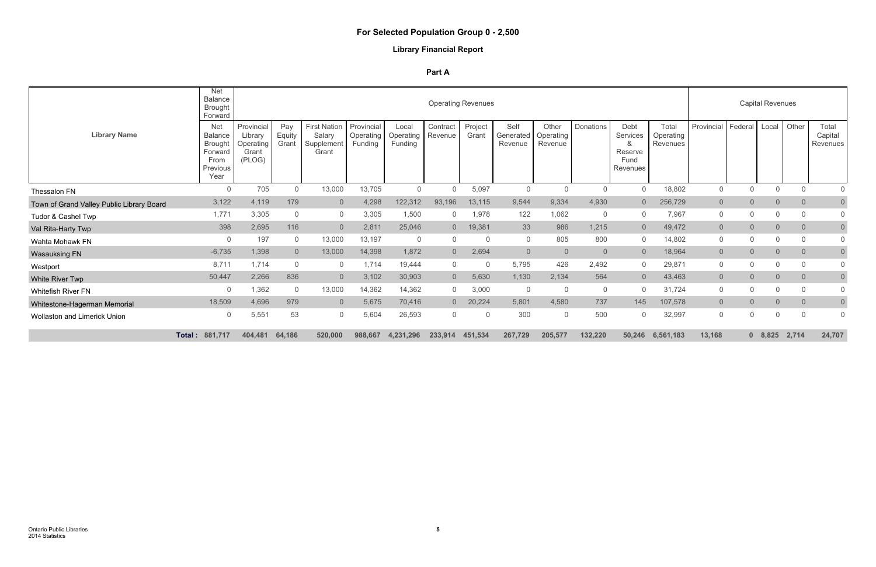# **Library Financial Report**

|                                           | <b>Net</b><br><b>Balance</b><br><b>Brought</b><br>Forward                             |                                                       |                        |                                                      |                                           |                               |                     | <b>Operating Revenues</b> |                              |                               |                |                                                      |                                |                |                | <b>Capital Revenues</b> |                |                                           |
|-------------------------------------------|---------------------------------------------------------------------------------------|-------------------------------------------------------|------------------------|------------------------------------------------------|-------------------------------------------|-------------------------------|---------------------|---------------------------|------------------------------|-------------------------------|----------------|------------------------------------------------------|--------------------------------|----------------|----------------|-------------------------|----------------|-------------------------------------------|
| <b>Library Name</b>                       | <b>Net</b><br><b>Balance</b><br><b>Brought</b><br>Forward<br>From<br>Previous<br>Year | Provincial<br>Library<br>Operating<br>Grant<br>(PLOG) | Pay<br>Equity<br>Grant | <b>First Nation</b><br>Salary<br>Supplement<br>Grant | Provincial<br><b>Operating</b><br>Funding | Local<br>Operating<br>Funding | Contract<br>Revenue | Project<br>Grant          | Self<br>Generated<br>Revenue | Other<br>Operating<br>Revenue | Donations      | Debt<br>Services<br>&<br>Reserve<br>Fund<br>Revenues | Total<br>Operating<br>Revenues | Provincial     | Federal        | Local                   | Other          | Total<br>Capital<br>Revenues <sup>1</sup> |
| Thessalon FN                              | $\Omega$                                                                              | 705                                                   | $\mathbf 0$            | 13,000                                               | 13,705                                    | $\overline{0}$                |                     | 5,097                     | $\overline{0}$               |                               | $\overline{0}$ | $\overline{0}$                                       | 18,802                         | $\mathbf 0$    | $\Omega$       | 0                       | $\Omega$       | $\mathbf 0$                               |
| Town of Grand Valley Public Library Board | 3,122                                                                                 | 4,119                                                 | 179                    | $\Omega$                                             | 4,298                                     | 122,312                       | 93,196              | 13,115                    | 9,544                        | 9,334                         | 4,930          | $\overline{0}$                                       | 256,729                        | $\overline{0}$ | $\overline{0}$ | $\overline{0}$          | $\Omega$       | $\overline{0}$                            |
| Tudor & Cashel Twp                        | 1,771                                                                                 | 3,305                                                 | 0                      | $\mathsf{O}$                                         | 3,305                                     | 1,500                         |                     | 1,978                     | 122                          | 1,062                         | $\overline{0}$ | $\overline{0}$                                       | 7,967                          | $\mathbf 0$    | $\mathbf{0}$   | $\Omega$                | $\Omega$       | $\Omega$                                  |
| Val Rita-Harty Twp                        | 398                                                                                   | 2,695                                                 | 116                    | $\overline{0}$                                       | 2,811                                     | 25,046                        | $\overline{0}$      | 19,381                    | 33                           | 986                           | 1,215          | $\overline{0}$                                       | 49,472                         | $\overline{0}$ | $\overline{0}$ | $\Omega$                | $\overline{0}$ | $\overline{0}$                            |
| Wahta Mohawk FN                           | $\Omega$                                                                              | 197                                                   | 0                      | 13,000                                               | 13,197                                    | $\overline{0}$                | $\Omega$            | $\Omega$                  | $\overline{0}$               | 805                           | 800            | $\overline{0}$                                       | 14,802                         | $\mathbf{0}$   | $\Omega$       | $\Omega$                | $\Omega$       | $\mathbf 0$                               |
| <b>Wasauksing FN</b>                      | $-6,735$                                                                              | 1,398                                                 | $\overline{0}$         | 13,000                                               | 14,398                                    | 1,872                         | $\overline{0}$      | 2,694                     | $\Omega$                     | $\overline{0}$                | $\overline{0}$ | $\overline{0}$                                       | 18,964                         | $\overline{0}$ | $\overline{0}$ | $\overline{0}$          | $\overline{0}$ | $\overline{0}$                            |
| Westport                                  | 8,711                                                                                 | 1,714                                                 | $\boldsymbol{0}$       | $\mathbf{0}$                                         | 1,714                                     | 19,444                        | $\Omega$            | $\overline{0}$            | 5,795                        | 426                           | 2,492          | $\overline{0}$                                       | 29,871                         | $\mathbf{0}$   | $\Omega$       |                         | $\Omega$       | $\Omega$                                  |
| White River Twp                           | 50,447                                                                                | 2,266                                                 | 836                    | $\overline{0}$                                       | 3,102                                     | 30,903                        | $\overline{0}$      | 5,630                     | 1,130                        | 2,134                         | 564            | $\overline{0}$                                       | 43,463                         | $\Omega$       | $\overline{0}$ | $\Omega$                | $\Omega$       | $\overline{0}$                            |
| <b>Whitefish River FN</b>                 | $\mathbf{0}$                                                                          | 1,362                                                 | $\mathbf 0$            | 13,000                                               | 14,362                                    | 14,362                        | $\Omega$            | 3,000                     | $\overline{0}$               |                               | $\overline{0}$ | $\overline{0}$                                       | 31,724                         | $\mathbf 0$    | $\mathbf{0}$   | 0                       |                | $\Omega$                                  |
| Whitestone-Hagerman Memorial              | 18,509                                                                                | 4,696                                                 | 979                    | $\overline{0}$                                       | 5,675                                     | 70,416                        |                     | 20,224                    | 5,801                        | 4,580                         | 737            | 145                                                  | 107,578                        | $\overline{0}$ | $\overline{0}$ | $\Omega$                | $\Omega$       | $\overline{0}$                            |
| <b>Wollaston and Limerick Union</b>       | $\Omega$                                                                              | 5,551                                                 | 53                     | $\mathbf 0$                                          | 5,604                                     | 26,593                        | $\mathbf{0}$        | $\Omega$                  | 300                          | $\Omega$                      | 500            | $\mathbf{0}$                                         | 32,997                         | $\mathbf{0}$   | $\mathbf{0}$   | $\mathbf 0$             | $\overline{0}$ | $\Omega$                                  |
|                                           | 881,717<br>Total:                                                                     | 404,481                                               | 64,186                 | 520,000                                              | 988,667                                   | 4,231,296                     | 233,914             | 451,534                   | 267,729                      | 205,577                       | 132,220        | 50,246                                               | 6,561,183                      | 13,168         |                | $0\quad 8,825$          | 2,714          | 24,707                                    |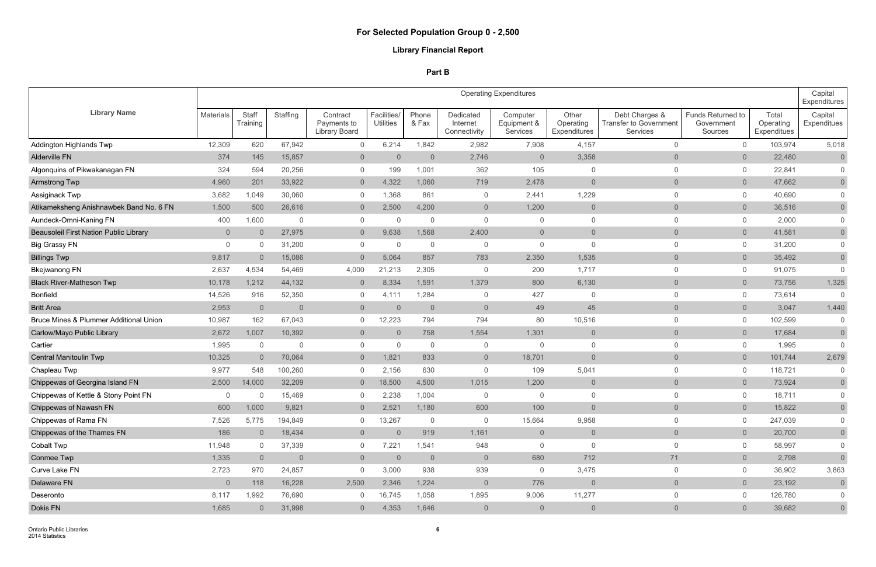|                                                   |                  |                   |                |                                                 |                                 |                |                                       | <b>Operating Expenditures</b>       |                                    |                                                             |                                            |                                   | Capital<br>Expenditures |
|---------------------------------------------------|------------------|-------------------|----------------|-------------------------------------------------|---------------------------------|----------------|---------------------------------------|-------------------------------------|------------------------------------|-------------------------------------------------------------|--------------------------------------------|-----------------------------------|-------------------------|
| <b>Library Name</b>                               | <b>Materials</b> | Staff<br>Training | Staffing       | Contract<br>Payments to<br><b>Library Board</b> | Facilities/<br><b>Utilities</b> | Phone<br>& Fax | Dedicated<br>Internet<br>Connectivity | Computer<br>Equipment &<br>Services | Other<br>Operating<br>Expenditures | Debt Charges &<br><b>Transfer to Government</b><br>Services | Funds Returned to<br>Government<br>Sources | Total<br>Operating<br>Expenditues | Capital<br>Expenditues  |
| <b>Addington Highlands Twp</b>                    | 12,309           | 620               | 67,942         | $\overline{0}$                                  | 6,214                           | 1,842          | 2,982                                 | 7,908                               | 4,157                              | $\overline{0}$                                              | $\overline{0}$                             | 103,974                           | 5,018                   |
| Alderville FN                                     | 374              | 145               | 15,857         | $\overline{0}$                                  | $\overline{0}$                  | $\overline{0}$ | 2,746                                 | $\overline{0}$                      | 3,358                              | $\overline{0}$                                              | $\overline{0}$                             | 22,480                            | $\overline{0}$          |
| Algonquins of Pikwakanagan FN                     | 324              | 594               | 20,256         | $\overline{0}$                                  | 199                             | 1,001          | 362                                   | 105                                 | 0                                  | $\Omega$                                                    | $\overline{0}$                             | 22,841                            | $\mathbf 0$             |
| <b>Armstrong Twp</b>                              | 4,960            | 201               | 33,922         | $\overline{0}$                                  | 4,322                           | 1,060          | 719                                   | 2,478                               | $\overline{0}$                     | $\overline{0}$                                              | $\overline{0}$                             | 47,662                            | $\overline{0}$          |
| Assiginack Twp                                    | 3,682            | 1,049             | 30,060         | $\overline{0}$                                  | 1,368                           | 861            | $\overline{0}$                        | 2,441                               | 1,229                              | $\Omega$                                                    | $\overline{0}$                             | 40,690                            | $\mathsf{O}\xspace$     |
| Atikameksheng Anishnawbek Band No. 6 FN           | 1,500            | 500               | 26,616         | $\overline{0}$                                  | 2,500                           | 4,200          | $\overline{0}$                        | 1,200                               | $\overline{0}$                     | $\overline{0}$                                              | $\overline{0}$                             | 36,516                            | $\overline{0}$          |
| Aundeck-Omni-Kaning FN                            | 400              | 1,600             | $\mathbf{0}$   | $\overline{0}$                                  | $\Omega$                        | $\mathbf{0}$   | $\Omega$                              | $\mathbf{0}$                        | $\mathbf{0}$                       | $\mathbf 0$                                                 | $\overline{0}$                             | 2,000                             | $\mathsf{O}\xspace$     |
| <b>Beausoleil First Nation Public Library</b>     | $\overline{0}$   | $\overline{0}$    | 27,975         | $\overline{0}$                                  | 9,638                           | 1,568          | 2,400                                 | $\overline{0}$                      | $\overline{0}$                     | $\overline{0}$                                              | $\overline{0}$                             | 41,581                            | $\overline{0}$          |
| <b>Big Grassy FN</b>                              | $\mathbf 0$      | $\overline{0}$    | 31,200         | $\overline{0}$                                  | $\overline{0}$                  | $\overline{0}$ | $\mathbf 0$                           | $\mathbf{0}$                        | $\mathbf 0$                        | $\Omega$                                                    | $\overline{0}$                             | 31,200                            | $\mathbf 0$             |
| <b>Billings Twp</b>                               | 9,817            | $\overline{0}$    | 15,086         | $\overline{0}$                                  | 5,064                           | 857            | 783                                   | 2,350                               | 1,535                              | $\overline{0}$                                              | $\overline{0}$                             | 35,492                            | $\mathsf{O}\xspace$     |
| <b>Bkejwanong FN</b>                              | 2,637            | 4,534             | 54,469         | 4,000                                           | 21,213                          | 2,305          | $\Omega$                              | 200                                 | 1,717                              | $\overline{0}$                                              | $\overline{0}$                             | 91,075                            | $\overline{0}$          |
| <b>Black River-Matheson Twp</b>                   | 10,178           | 1,212             | 44,132         | $\overline{0}$                                  | 8,334                           | 1,591          | 1,379                                 | 800                                 | 6,130                              | $\overline{0}$                                              | $\overline{0}$                             | 73,756                            | 1,325                   |
| <b>Bonfield</b>                                   | 14,526           | 916               | 52,350         | $\overline{0}$                                  | 4,111                           | 1,284          | $\Omega$                              | 427                                 | $\overline{0}$                     | $\Omega$                                                    | $\overline{0}$                             | 73,614                            | $\Omega$                |
| <b>Britt Area</b>                                 | 2,953            | $\overline{0}$    | $\overline{0}$ | $\overline{0}$                                  | 0                               | $\overline{0}$ | $\overline{0}$                        | 49                                  | 45                                 | $\overline{0}$                                              | $\overline{0}$                             | 3,047                             | 1,440                   |
| <b>Bruce Mines &amp; Plummer Additional Union</b> | 10,987           | 162               | 67,043         | $\overline{0}$                                  | 12,223                          | 794            | 794                                   | 80                                  | 10,516                             | $\Omega$                                                    | $\overline{0}$                             | 102,599                           | $\overline{0}$          |
| Carlow/Mayo Public Library                        | 2,672            | 1,007             | 10,392         | $\overline{0}$                                  | $\Omega$                        | 758            | 1,554                                 | 1,301                               | $\overline{0}$                     | $\overline{0}$                                              | $\overline{0}$                             | 17,684                            | $\overline{0}$          |
| Cartier                                           | 1,995            | $\overline{0}$    | $\mathbf{0}$   | $\overline{0}$                                  | $\overline{0}$                  | $\overline{0}$ | $\mathbf 0$                           | $\Omega$                            | $\overline{0}$                     | $\mathbf 0$                                                 | $\overline{0}$                             | 1,995                             | $\overline{0}$          |
| Central Manitoulin Twp                            | 10,325           | $\overline{0}$    | 70,064         | $\overline{0}$                                  | 1,821                           | 833            | $\overline{0}$                        | 18,701                              | $\overline{0}$                     | $\overline{0}$                                              | $\overline{0}$                             | 101,744                           | 2,679                   |
| Chapleau Twp                                      | 9,977            | 548               | 100,260        | $\overline{0}$                                  | 2,156                           | 630            | $\Omega$                              | 109                                 | 5,041                              | $\mathbf 0$                                                 | $\overline{0}$                             | 118,721                           | $\mathbf 0$             |
| Chippewas of Georgina Island FN                   | 2,500            | 14,000            | 32,209         | $\overline{0}$                                  | 18,500                          | 4,500          | 1,015                                 | 1,200                               | $\overline{0}$                     | $\overline{0}$                                              | $\overline{0}$                             | 73,924                            | $\overline{0}$          |
| Chippewas of Kettle & Stony Point FN              |                  | 0                 | 15,469         | $\mathbf 0$                                     | 2,238                           | 1,004          | $\mathbf 0$                           | $\Omega$                            | $\mathbf 0$                        | $\mathbf 0$                                                 | $\mathbf{0}$                               | 18,711                            | $\mathsf{O}$            |
| Chippewas of Nawash FN                            | 600              | 1,000             | 9,821          | $\overline{0}$                                  | 2,521                           | 1,180          | 600                                   | 100                                 | $\overline{0}$                     | $\overline{0}$                                              | $\overline{0}$                             | 15,822                            | $\overline{0}$          |
| Chippewas of Rama FN                              | 7,526            | 5,775             | 194,849        | $\overline{0}$                                  | 13,267                          | $\overline{0}$ | $\overline{0}$                        | 15,664                              | 9,958                              | $\overline{0}$                                              | $\overline{0}$                             | 247,039                           | $\overline{0}$          |
| Chippewas of the Thames FN                        | 186              | $\overline{0}$    | 18,434         | $\overline{0}$                                  | $\overline{0}$                  | 919            | 1,161                                 | $\overline{0}$                      | $\overline{0}$                     | $\overline{0}$                                              | $\overline{0}$                             | 20,700                            | $\overline{0}$          |
| Cobalt Twp                                        | 11,948           | $\overline{0}$    | 37,339         | $\overline{0}$                                  | 7,221                           | 1,541          | 948                                   | $\mathbf 0$                         | $\overline{0}$                     | $\overline{0}$                                              | $\overline{0}$                             | 58,997                            | $\mathbf 0$             |
| Conmee Twp                                        | 1,335            | $\overline{0}$    | $\overline{0}$ | $\overline{0}$                                  | $\overline{0}$                  | $\overline{0}$ | $\overline{0}$                        | 680                                 | 712                                | 71                                                          | $\overline{0}$                             | 2,798                             | $\overline{0}$          |
| Curve Lake FN                                     | 2,723            | 970               | 24,857         | $\overline{0}$                                  | 3,000                           | 938            | 939                                   | $\mathsf{O}$                        | 3,475                              | $\overline{0}$                                              | $\overline{0}$                             | 36,902                            | 3,863                   |
| Delaware FN                                       | $\overline{0}$   | 118               | 16,228         | 2,500                                           | 2,346                           | 1,224          | $\overline{0}$                        | 776                                 | $\overline{0}$                     | $\overline{0}$                                              | $\overline{0}$                             | 23,192                            | $\overline{0}$          |
| Deseronto                                         | 8,117            | 1,992             | 76,690         | $\overline{0}$                                  | 16,745                          | 1,058          | 1,895                                 | 9,006                               | 11,277                             | $\overline{0}$                                              | $\mathbf 0$                                | 126,780                           | $\overline{0}$          |
| Dokis FN                                          | 1,685            | $\overline{0}$    | 31,998         | $\overline{0}$                                  | 4,353                           | 1,646          | $\overline{0}$                        | $\overline{0}$                      | $\overline{0}$                     | $\overline{0}$                                              | $\overline{0}$                             | 39,682                            | $\overline{0}$          |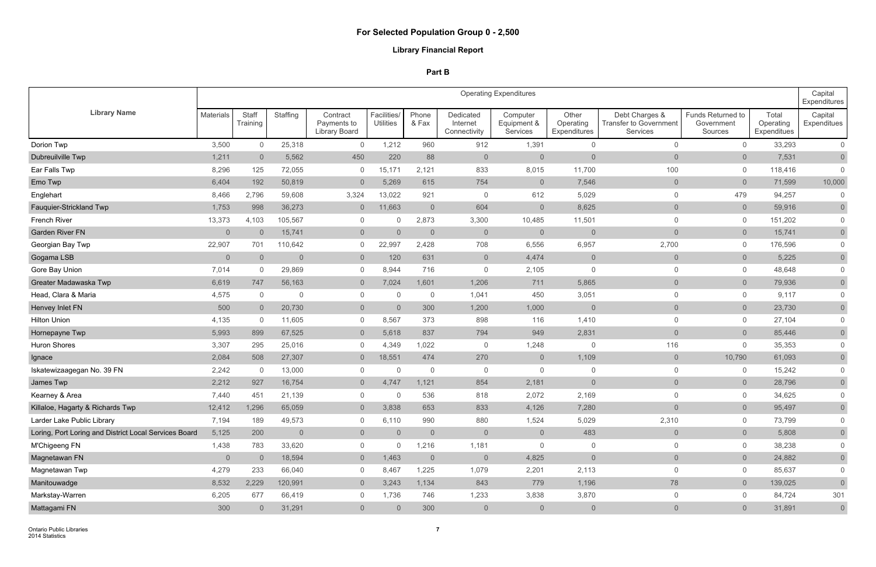|                                                       |                |                   |                |                                          |                                 |                |                                       | <b>Operating Expenditures</b>       |                                    |                                                             |                                            |                                   | Capital<br><b>Expenditures</b> |
|-------------------------------------------------------|----------------|-------------------|----------------|------------------------------------------|---------------------------------|----------------|---------------------------------------|-------------------------------------|------------------------------------|-------------------------------------------------------------|--------------------------------------------|-----------------------------------|--------------------------------|
| <b>Library Name</b>                                   | Materials      | Staff<br>Training | Staffing       | Contract<br>Payments to<br>Library Board | Facilities/<br><b>Utilities</b> | Phone<br>& Fax | Dedicated<br>Internet<br>Connectivity | Computer<br>Equipment &<br>Services | Other<br>Operating<br>Expenditures | Debt Charges &<br><b>Transfer to Government</b><br>Services | Funds Returned to<br>Government<br>Sources | Total<br>Operating<br>Expenditues | Capital<br>Expenditues         |
| Dorion Twp                                            | 3,500          | $\mathbf 0$       | 25,318         | $\overline{0}$                           | 1,212                           | 960            | 912                                   | 1,391                               | $\overline{0}$                     | $\mathbf 0$                                                 | $\overline{0}$                             | 33,293                            | $\overline{0}$                 |
| Dubreuilville Twp                                     | 1,211          | $\overline{0}$    | 5,562          | 450                                      | 220                             | 88             | $\overline{0}$                        | $\overline{0}$                      | $\overline{0}$                     | $\overline{0}$                                              | $\overline{0}$                             | 7,531                             | $\overline{0}$                 |
| Ear Falls Twp                                         | 8,296          | 125               | 72,055         | $\overline{0}$                           | 15,171                          | 2,121          | 833                                   | 8,015                               | 11,700                             | 100                                                         | $\overline{0}$                             | 118,416                           | $\overline{0}$                 |
| Emo Twp                                               | 6,404          | 192               | 50,819         | $\overline{0}$                           | 5,269                           | 615            | 754                                   | $\overline{0}$                      | 7,546                              | $\overline{0}$                                              | $\overline{0}$                             | 71,599                            | 10,000                         |
| Englehart                                             | 8,466          | 2,796             | 59,608         | 3,324                                    | 13,022                          | 921            | $\overline{0}$                        | 612                                 | 5,029                              | $\Omega$                                                    | 479                                        | 94,257                            | $\mathbf 0$                    |
| Fauquier-Strickland Twp                               | 1,753          | 998               | 36,273         | $\overline{0}$                           | 11,663                          | $\overline{0}$ | 604                                   | $\overline{0}$                      | 8,625                              | $\overline{0}$                                              | $\overline{0}$                             | 59,916                            | $\overline{0}$                 |
| French River                                          | 13,373         | 4,103             | 105,567        | $\overline{0}$                           |                                 | 2,873          | 3,300                                 | 10,485                              | 11,501                             | $\Omega$                                                    | $\overline{0}$                             | 151,202                           | $\overline{0}$                 |
| <b>Garden River FN</b>                                | $\overline{0}$ | $\overline{0}$    | 15,741         | $\overline{0}$                           | $\overline{0}$                  | $\overline{0}$ | $\overline{0}$                        | $\overline{0}$                      | $\overline{0}$                     | $\overline{0}$                                              | $\overline{0}$                             | 15,741                            | $\overline{0}$                 |
| Georgian Bay Twp                                      | 22,907         | 701               | 110,642        | $\overline{0}$                           | 22,997                          | 2,428          | 708                                   | 6,556                               | 6,957                              | 2,700                                                       | $\overline{0}$                             | 176,596                           | $\overline{0}$                 |
| Gogama LSB                                            | $\overline{0}$ | $\overline{0}$    | $\overline{0}$ | $\overline{0}$                           | 120                             | 631            | $\overline{0}$                        | 4,474                               | $\mathsf{O}$                       | $\overline{0}$                                              | $\overline{0}$                             | 5,225                             | $\overline{0}$                 |
| Gore Bay Union                                        | 7,014          | $\overline{0}$    | 29,869         | $\overline{0}$                           | 8,944                           | 716            | $\overline{0}$                        | 2,105                               | $\overline{0}$                     | $\mathbf 0$                                                 | $\overline{0}$                             | 48,648                            | $\overline{0}$                 |
| Greater Madawaska Twp                                 | 6,619          | 747               | 56,163         | $\overline{0}$                           | 7,024                           | 1,601          | 1,206                                 | 711                                 | 5,865                              | $\overline{0}$                                              | $\overline{0}$                             | 79,936                            | $\overline{0}$                 |
| Head, Clara & Maria                                   | 4,575          | $\overline{0}$    | $\overline{0}$ | $\overline{0}$                           | $\mathbf 0$                     | $\overline{0}$ | 1,041                                 | 450                                 | 3,051                              | $\overline{0}$                                              | $\overline{0}$                             | 9,117                             | $\overline{0}$                 |
| Henvey Inlet FN                                       | 500            | $\overline{0}$    | 20,730         | $\overline{0}$                           | $\Omega$                        | 300            | 1,200                                 | 1,000                               | $\overline{0}$                     | $\overline{0}$                                              | $\overline{0}$                             | 23,730                            | $\overline{0}$                 |
| <b>Hilton Union</b>                                   | 4,135          | $\mathbf 0$       | 11,605         | $\overline{0}$                           | 8,567                           | 373            | 898                                   | 116                                 | 1,410                              | $\Omega$                                                    | $\mathbf 0$                                | 27,104                            | $\overline{0}$                 |
| Hornepayne Twp                                        | 5,993          | 899               | 67,525         | $\overline{0}$                           | 5,618                           | 837            | 794                                   | 949                                 | 2,831                              | $\overline{0}$                                              | $\overline{0}$                             | 85,446                            | $\overline{0}$                 |
| Huron Shores                                          | 3,307          | 295               | 25,016         | $\overline{0}$                           | 4,349                           | 1,022          | $\mathbf 0$                           | 1,248                               | $\overline{0}$                     | 116                                                         | $\overline{0}$                             | 35,353                            | $\mathbf 0$                    |
| Ignace                                                | 2,084          | 508               | 27,307         | $\overline{0}$                           | 18,551                          | 474            | 270                                   | $\overline{0}$                      | 1,109                              | $\overline{0}$                                              | 10,790                                     | 61,093                            | $\overline{0}$                 |
| Iskatewizaagegan No. 39 FN                            | 2,242          | $\overline{0}$    | 13,000         | $\overline{0}$                           | $\mathbf{0}$                    | $\overline{0}$ | $\overline{0}$                        | $\overline{0}$                      | $\overline{0}$                     | $\mathbf 0$                                                 | 0                                          | 15,242                            | $\overline{0}$                 |
| James Twp                                             | 2,212          | 927               | 16,754         | $\overline{0}$                           | 4,747                           | 1,121          | 854                                   | 2,181                               | $\overline{0}$                     | $\overline{0}$                                              | $\overline{0}$                             | 28,796                            | $\overline{0}$                 |
| Kearney & Area                                        | 7,440          | 451               | 21,139         | $\mathbf 0$                              |                                 | 536            | 818                                   | 2,072                               | 2,169                              | $\Omega$                                                    | 0                                          | 34,625                            | $\mathbf 0$                    |
| Killaloe, Hagarty & Richards Twp                      | 12,412         | 1,296             | 65,059         | $\overline{0}$                           | 3,838                           | 653            | 833                                   | 4,126                               | 7,280                              | $\overline{0}$                                              | $\overline{0}$                             | 95,497                            | $\overline{0}$                 |
| Larder Lake Public Library                            | 7,194          | 189               | 49,573         | $\overline{0}$                           | 6,110                           | 990            | 880                                   | 1,524                               | 5,029                              | 2,310                                                       | $\mathbf 0$                                | 73,799                            | $\mathbf 0$                    |
| Loring, Port Loring and District Local Services Board | 5,125          | 200               | $\overline{0}$ | $\overline{0}$                           | $\overline{0}$                  | $\overline{0}$ | $\overline{0}$                        | $\overline{0}$                      | 483                                | $\overline{0}$                                              | $\overline{0}$                             | 5,808                             | $\overline{0}$                 |
| M'Chigeeng FN                                         | 1,438          | 783               | 33,620         | $\overline{0}$                           | $\mathbf{0}$                    | 1,216          | 1,181                                 | $\mathbf 0$                         | $\overline{0}$                     | $\mathbf 0$                                                 | $\mathbf 0$                                | 38,238                            | $\overline{0}$                 |
| Magnetawan FN                                         | $\overline{0}$ | $\overline{0}$    | 18,594         | $\overline{0}$                           | 1,463                           | $\overline{0}$ | $\overline{0}$                        | 4,825                               | $\overline{0}$                     | $\overline{0}$                                              | $\overline{0}$                             | 24,882                            | $\overline{0}$                 |
| Magnetawan Twp                                        | 4,279          | 233               | 66,040         | $\overline{0}$                           | 8,467                           | 1,225          | 1,079                                 | 2,201                               | 2,113                              | $\mathbf 0$                                                 | $\mathbf 0$                                | 85,637                            | $\overline{0}$                 |
| Manitouwadge                                          | 8,532          | 2,229             | 120,991        | $\overline{0}$                           | 3,243                           | 1,134          | 843                                   | 779                                 | 1,196                              | 78                                                          | $\overline{0}$                             | 139,025                           | $\overline{0}$                 |
| Markstay-Warren                                       | 6,205          | 677               | 66,419         | $\overline{0}$                           | 1,736                           | 746            | 1,233                                 | 3,838                               | 3,870                              | $\overline{0}$                                              | $\mathbf 0$                                | 84,724                            | 301                            |
| Mattagami FN                                          | 300            | $\overline{0}$    | 31,291         | $\overline{0}$                           | $\overline{0}$                  | 300            | $\overline{0}$                        | $\overline{0}$                      | $\overline{0}$                     | $\overline{0}$                                              | $\overline{0}$                             | 31,891                            | $\overline{0}$                 |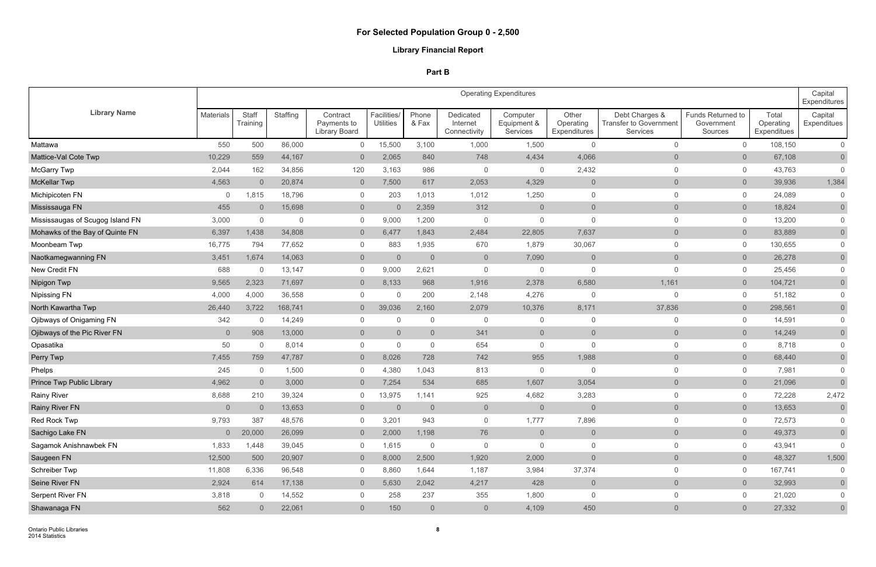|                                  |                  |                   |          |                                                 |                                 |                |                                       | <b>Operating Expenditures</b>       |                                    |                                                             |                                            |                                   | Capital<br>Expenditures |
|----------------------------------|------------------|-------------------|----------|-------------------------------------------------|---------------------------------|----------------|---------------------------------------|-------------------------------------|------------------------------------|-------------------------------------------------------------|--------------------------------------------|-----------------------------------|-------------------------|
| <b>Library Name</b>              | <b>Materials</b> | Staff<br>Training | Staffing | Contract<br>Payments to<br><b>Library Board</b> | Facilities/<br><b>Utilities</b> | Phone<br>& Fax | Dedicated<br>Internet<br>Connectivity | Computer<br>Equipment &<br>Services | Other<br>Operating<br>Expenditures | Debt Charges &<br><b>Transfer to Government</b><br>Services | Funds Returned to<br>Government<br>Sources | Total<br>Operating<br>Expenditues | Capital<br>Expenditues  |
| Mattawa                          | 550              | 500               | 86,000   | $\overline{0}$                                  | 15,500                          | 3,100          | 1,000                                 | 1,500                               | $\overline{0}$                     | $\overline{0}$                                              | $\mathbf 0$                                | 108,150                           | $\overline{0}$          |
| Mattice-Val Cote Twp             | 10,229           | 559               | 44,167   | $\overline{0}$                                  | 2,065                           | 840            | 748                                   | 4,434                               | 4,066                              | $\overline{0}$                                              | $\overline{0}$                             | 67,108                            | $\overline{0}$          |
| <b>McGarry Twp</b>               | 2,044            | 162               | 34,856   | 120                                             | 3,163                           | 986            | $\overline{0}$                        | $\overline{0}$                      | 2,432                              | $\overline{0}$                                              | $\overline{0}$                             | 43,763                            | $\overline{0}$          |
| <b>McKellar Twp</b>              | 4,563            | $\overline{0}$    | 20,874   | $\overline{0}$                                  | 7,500                           | 617            | 2,053                                 | 4,329                               | $\overline{0}$                     | $\overline{0}$                                              | $\overline{0}$                             | 39,936                            | 1,384                   |
| Michipicoten FN                  | $\Omega$         | 1,815             | 18,796   | $\overline{0}$                                  | 203                             | 1,013          | 1,012                                 | 1,250                               | $\overline{0}$                     | $\mathbf 0$                                                 | $\overline{0}$                             | 24,089                            | $\overline{0}$          |
| Mississauga FN                   | 455              | $\overline{0}$    | 15,698   | $\overline{0}$                                  | $\overline{0}$                  | 2,359          | 312                                   | $\overline{0}$                      | $\overline{0}$                     | $\overline{0}$                                              | $\overline{0}$                             | 18,824                            | $\overline{0}$          |
| Mississaugas of Scugog Island FN | 3,000            | $\overline{0}$    | $\Omega$ | $\overline{0}$                                  | 9,000                           | 1,200          | $\overline{0}$                        | $\Omega$                            | $\overline{0}$                     | $\mathbf 0$                                                 | $\mathbf 0$                                | 13,200                            | $\mathsf{O}\xspace$     |
| Mohawks of the Bay of Quinte FN  | 6,397            | 1,438             | 34,808   | $\overline{0}$                                  | 6,477                           | 1,843          | 2,484                                 | 22,805                              | 7,637                              | $\overline{0}$                                              | $\overline{0}$                             | 83,889                            | $\overline{0}$          |
| Moonbeam Twp                     | 16,775           | 794               | 77,652   | $\overline{0}$                                  | 883                             | 1,935          | 670                                   | 1,879                               | 30,067                             | $\overline{0}$                                              | $\overline{0}$                             | 130,655                           | $\overline{0}$          |
| Naotkamegwanning FN              | 3,451            | 1,674             | 14,063   | $\overline{0}$                                  | $\overline{0}$                  | $\overline{0}$ | $\overline{0}$                        | 7,090                               | $\overline{0}$                     | $\overline{0}$                                              | $\overline{0}$                             | 26,278                            | $\overline{0}$          |
| New Credit FN                    | 688              | $\overline{0}$    | 13,147   | $\overline{0}$                                  | 9,000                           | 2,621          | $\mathbf 0$                           | $\overline{0}$                      | $\overline{0}$                     | $\overline{0}$                                              | $\overline{0}$                             | 25,456                            | $\mathbf 0$             |
| Nipigon Twp                      | 9,565            | 2,323             | 71,697   | $\overline{0}$                                  | 8,133                           | 968            | 1,916                                 | 2,378                               | 6,580                              | 1,161                                                       | $\overline{0}$                             | 104,721                           | $\overline{0}$          |
| <b>Nipissing FN</b>              | 4,000            | 4,000             | 36,558   | $\overline{0}$                                  | $\Omega$                        | 200            | 2,148                                 | 4,276                               | $\overline{0}$                     | $\Omega$                                                    | $\overline{0}$                             | 51,182                            | $\overline{0}$          |
| North Kawartha Twp               | 26,440           | 3,722             | 168,741  | $\overline{0}$                                  | 39,036                          | 2,160          | 2,079                                 | 10,376                              | 8,171                              | 37,836                                                      | $\overline{0}$                             | 298,561                           | $\overline{0}$          |
| Ojibways of Onigaming FN         | 342              | $\mathbf 0$       | 14,249   | $\overline{0}$                                  | $\Omega$                        | $\mathbf 0$    | $\overline{0}$                        | $\overline{0}$                      | 0                                  | $\overline{0}$                                              | $\overline{0}$                             | 14,591                            | $\overline{0}$          |
| Ojibways of the Pic River FN     | $\overline{0}$   | 908               | 13,000   | $\overline{0}$                                  | $\Omega$                        | $\overline{0}$ | 341                                   | $\overline{0}$                      | $\overline{0}$                     | $\overline{0}$                                              | $\overline{0}$                             | 14,249                            | $\overline{0}$          |
| Opasatika                        | 50               | $\mathbf 0$       | 8,014    | $\overline{0}$                                  | $\mathbf{0}$                    | $\mathbf 0$    | 654                                   | $\mathbf{0}$                        | $\overline{0}$                     | $\overline{0}$                                              | $\overline{0}$                             | 8,718                             | $\mathbf 0$             |
| Perry Twp                        | 7,455            | 759               | 47,787   | $\overline{0}$                                  | 8,026                           | 728            | 742                                   | 955                                 | 1,988                              | $\overline{0}$                                              | $\overline{0}$                             | 68,440                            | $\overline{0}$          |
| Phelps                           | 245              | $\overline{0}$    | 1,500    | $\overline{0}$                                  | 4,380                           | 1,043          | 813                                   | $\Omega$                            | $\overline{0}$                     | $\overline{0}$                                              | $\mathbf 0$                                | 7,981                             | $\overline{0}$          |
| Prince Twp Public Library        | 4,962            | $\overline{0}$    | 3,000    | $\overline{0}$                                  | 7,254                           | 534            | 685                                   | 1,607                               | 3,054                              | $\overline{0}$                                              | $\overline{0}$                             | 21,096                            | $\overline{0}$          |
| <b>Rainy River</b>               | 8,688            | 210               | 39,324   | $\mathbf 0$                                     | 13,975                          | 1,141          | 925                                   | 4,682                               | 3,283                              | $\mathbf 0$                                                 | $\mathbf 0$                                | 72,228                            | 2,472                   |
| <b>Rainy River FN</b>            | $\overline{0}$   | $\overline{0}$    | 13,653   | $\overline{0}$                                  | $\overline{0}$                  | $\overline{0}$ | $\overline{0}$                        | $\overline{0}$                      | $\overline{0}$                     | $\theta$                                                    | $\overline{0}$                             | 13,653                            | $\overline{0}$          |
| Red Rock Twp                     | 9,793            | 387               | 48,576   | $\overline{0}$                                  | 3,201                           | 943            | $\overline{0}$                        | 1,777                               | 7,896                              | $\overline{0}$                                              | $\mathbf 0$                                | 72,573                            | $\overline{0}$          |
| Sachigo Lake FN                  | $\overline{0}$   | 20,000            | 26,099   | $\overline{0}$                                  | 2,000                           | 1,198          | 76                                    | $\overline{0}$                      | $\overline{0}$                     | $\overline{0}$                                              | $\overline{0}$                             | 49,373                            | $\overline{0}$          |
| Sagamok Anishnawbek FN           | 1,833            | 1,448             | 39,045   | $\overline{0}$                                  | 1,615                           | $\overline{0}$ | $\overline{0}$                        | $\overline{0}$                      | $\overline{0}$                     | $\overline{0}$                                              | $\overline{0}$                             | 43,941                            | $\overline{0}$          |
| Saugeen FN                       | 12,500           | 500               | 20,907   | $\overline{0}$                                  | 8,000                           | 2,500          | 1,920                                 | 2,000                               | $\overline{0}$                     | $\overline{0}$                                              | $\overline{0}$                             | 48,327                            | 1,500                   |
| Schreiber Twp                    | 11,808           | 6,336             | 96,548   | $\overline{0}$                                  | 8,860                           | 1,644          | 1,187                                 | 3,984                               | 37,374                             | $\overline{0}$                                              | $\overline{0}$                             | 167,741                           | $\overline{0}$          |
| Seine River FN                   | 2,924            | 614               | 17,138   | $\overline{0}$                                  | 5,630                           | 2,042          | 4,217                                 | 428                                 | $\overline{0}$                     | $\overline{0}$                                              | $\overline{0}$                             | 32,993                            | $\overline{0}$          |
| Serpent River FN                 | 3,818            | $\overline{0}$    | 14,552   | $\overline{0}$                                  | 258                             | 237            | 355                                   | 1,800                               | $\overline{0}$                     | $\overline{0}$                                              | $\overline{0}$                             | 21,020                            | $\overline{0}$          |
| Shawanaga FN                     | 562              | $\overline{0}$    | 22,061   | $\overline{0}$                                  | 150                             | $\overline{0}$ | $\overline{0}$                        | 4,109                               | 450                                | $\overline{0}$                                              | $\overline{0}$                             | 27,332                            | $\overline{0}$          |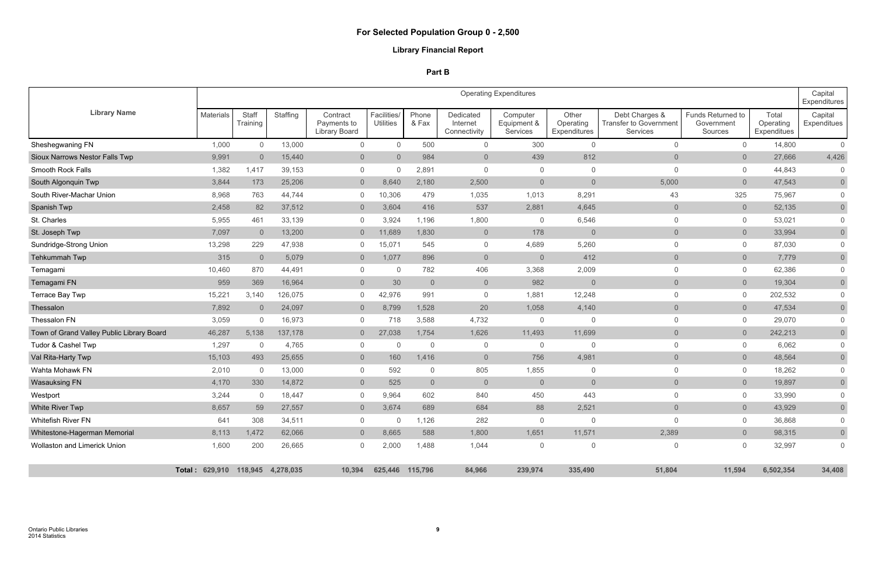|                                           |                                  |                   |          |                                          |                                 |                |                                       | <b>Operating Expenditures</b>       |                                    |                                                                    |                                            |                                   | Capital<br><b>Expenditures</b> |
|-------------------------------------------|----------------------------------|-------------------|----------|------------------------------------------|---------------------------------|----------------|---------------------------------------|-------------------------------------|------------------------------------|--------------------------------------------------------------------|--------------------------------------------|-----------------------------------|--------------------------------|
| <b>Library Name</b>                       | <b>Materials</b>                 | Staff<br>Training | Staffing | Contract<br>Payments to<br>Library Board | Facilities/<br><b>Utilities</b> | Phone<br>& Fax | Dedicated<br>Internet<br>Connectivity | Computer<br>Equipment &<br>Services | Other<br>Operating<br>Expenditures | Debt Charges &<br><b>Transfer to Government</b><br><b>Services</b> | Funds Returned to<br>Government<br>Sources | Total<br>Operating<br>Expenditues | Capital<br>Expenditues         |
| Sheshegwaning FN                          | 1,000                            | $\overline{0}$    | 13,000   | $\overline{0}$                           | $\mathbf{0}$                    | 500            | $\overline{0}$                        | 300                                 | $\mathbf{0}$                       | $\overline{0}$                                                     | $\mathbf 0$                                | 14,800                            | $\overline{0}$                 |
| Sioux Narrows Nestor Falls Twp            | 9,991                            | $\overline{0}$    | 15,440   | $\overline{0}$                           | $\overline{0}$                  | 984            | $\overline{0}$                        | 439                                 | 812                                | $\overline{0}$                                                     | $\overline{0}$                             | 27,666                            | 4,426                          |
| Smooth Rock Falls                         | 1,382                            | 1,417             | 39,153   | $\mathbf 0$                              |                                 | 2,891          | $\Omega$                              | $\mathbf 0$                         | $\mathbf{0}$                       | $\Omega$                                                           | $\overline{0}$                             | 44,843                            | $\mathbf 0$                    |
| South Algonquin Twp                       | 3,844                            | 173               | 25,206   | $\overline{0}$                           | 8,640                           | 2,180          | 2,500                                 | $\overline{0}$                      | $\overline{0}$                     | 5,000                                                              | $\overline{0}$                             | 47,543                            | $\overline{0}$                 |
| South River-Machar Union                  | 8,968                            | 763               | 44,744   | $\overline{0}$                           | 10,306                          | 479            | 1,035                                 | 1,013                               | 8,291                              | 43                                                                 | 325                                        | 75,967                            | $\overline{0}$                 |
| Spanish Twp                               | 2,458                            | 82                | 37,512   | $\overline{0}$                           | 3,604                           | 416            | 537                                   | 2,881                               | 4,645                              | $\overline{0}$                                                     | $\overline{0}$                             | 52,135                            | $\overline{0}$                 |
| St. Charles                               | 5,955                            | 461               | 33,139   | $\overline{0}$                           | 3,924                           | 1,196          | 1,800                                 | $\overline{0}$                      | 6,546                              | $\mathbf{0}$                                                       | $\overline{0}$                             | 53,021                            | $\overline{0}$                 |
| St. Joseph Twp                            | 7,097                            | $\overline{0}$    | 13,200   | $\overline{0}$                           | 11,689                          | 1,830          | $\overline{0}$                        | 178                                 | $\overline{0}$                     | $\overline{0}$                                                     | $\overline{0}$                             | 33,994                            | $\overline{0}$                 |
| Sundridge-Strong Union                    | 13,298                           | 229               | 47,938   | $\overline{0}$                           | 15,071                          | 545            | $\overline{0}$                        | 4,689                               | 5,260                              | $\mathbf{0}$                                                       | $\overline{0}$                             | 87,030                            | $\overline{0}$                 |
| Tehkummah Twp                             | 315                              | $\overline{0}$    | 5,079    | $\overline{0}$                           | 1,077                           | 896            | $\overline{0}$                        | $\overline{0}$                      | 412                                | $\overline{0}$                                                     | $\overline{0}$                             | 7,779                             | $\overline{0}$                 |
| Temagami                                  | 10,460                           | 870               | 44,491   | $\overline{0}$                           | $\Omega$                        | 782            | 406                                   | 3,368                               | 2,009                              | $\Omega$                                                           | $\overline{0}$                             | 62,386                            | $\mathsf{O}\xspace$            |
| Temagami FN                               | 959                              | 369               | 16,964   | $\overline{0}$                           | 30                              | $\overline{0}$ | $\overline{0}$                        | 982                                 | $\overline{0}$                     | $\overline{0}$                                                     | $\overline{0}$                             | 19,304                            | $\overline{0}$                 |
| Terrace Bay Twp                           | 15,221                           | 3,140             | 126,075  | $\overline{0}$                           | 42,976                          | 991            | $\overline{0}$                        | 1,881                               | 12,248                             | $\overline{0}$                                                     | $\overline{0}$                             | 202,532                           | $\overline{0}$                 |
| Thessalon                                 | 7,892                            | $\overline{0}$    | 24,097   | $\overline{0}$                           | 8,799                           | 1,528          | 20                                    | 1,058                               | 4,140                              | $\overline{0}$                                                     | $\overline{0}$                             | 47,534                            | $\overline{0}$                 |
| Thessalon FN                              | 3,059                            | $\overline{0}$    | 16,973   | $\overline{0}$                           | 718                             | 3,588          | 4,732                                 | $\mathbf 0$                         | $\overline{0}$                     | $\mathbf{0}$                                                       | $\overline{0}$                             | 29,070                            | $\overline{0}$                 |
| Town of Grand Valley Public Library Board | 46,287                           | 5,138             | 137,178  | $\overline{0}$                           | 27,038                          | 1,754          | 1,626                                 | 11,493                              | 11,699                             | $\overline{0}$                                                     | $\overline{0}$                             | 242,213                           | $\overline{0}$                 |
| Tudor & Cashel Twp                        | 1,297                            | $\overline{0}$    | 4,765    | $\overline{0}$                           | $\mathbf 0$                     | $\overline{0}$ | $\overline{0}$                        | $\mathbf 0$                         | $\overline{0}$                     | $\overline{0}$                                                     | $\overline{0}$                             | 6,062                             | $\mathbf 0$                    |
| Val Rita-Harty Twp                        | 15,103                           | 493               | 25,655   | $\overline{0}$                           | 160                             | 1,416          | $\overline{0}$                        | 756                                 | 4,981                              | $\overline{0}$                                                     | $\overline{0}$                             | 48,564                            | $\overline{0}$                 |
| Wahta Mohawk FN                           | 2,010                            | $\overline{0}$    | 13,000   | $\overline{0}$                           | 592                             | 0              | 805                                   | 1,855                               | 0                                  | $\mathbf{0}$                                                       | $\overline{0}$                             | 18,262                            | $\mathbf 0$                    |
| <b>Wasauksing FN</b>                      | 4,170                            | 330               | 14,872   | $\overline{0}$                           | 525                             | $\overline{0}$ | $\overline{0}$                        | $\overline{0}$                      | $\overline{0}$                     | $\overline{0}$                                                     | $\overline{0}$                             | 19,897                            | $\overline{0}$                 |
| Westport                                  | 3,244                            | $\mathbf 0$       | 18,447   | $\overline{0}$                           | 9,964                           | 602            | 840                                   | 450                                 | 443                                | $\overline{0}$                                                     | $\mathbf{0}$                               | 33,990                            | $\mathbf 0$                    |
| White River Twp                           | 8,657                            | 59                | 27,557   | $\overline{0}$                           | 3,674                           | 689            | 684                                   | 88                                  | 2,521                              | $\overline{0}$                                                     | $\overline{0}$                             | 43,929                            | $\overline{0}$                 |
| <b>Whitefish River FN</b>                 | 641                              | 308               | 34,511   | $\overline{0}$                           | $\Omega$                        | 1,126          | 282                                   | $\mathbf 0$                         | $\mathsf{O}\xspace$                | $\mathsf{O}$                                                       | $\overline{0}$                             | 36,868                            | $\mathbf 0$                    |
| Whitestone-Hagerman Memorial              | 8,113                            | 1,472             | 62,066   | $\overline{0}$                           | 8,665                           | 588            | 1,800                                 | 1,651                               | 11,571                             | 2,389                                                              | $\overline{0}$                             | 98,315                            | $\overline{0}$                 |
| Wollaston and Limerick Union              | 1,600                            | 200               | 26,665   | $\overline{0}$                           | 2,000                           | 1,488          | 1,044                                 | $\overline{0}$                      | $\mathsf{O}\xspace$                | $\mathbf 0$                                                        | $\overline{0}$                             | 32,997                            | $\overline{0}$                 |
|                                           | Total: 629,910 118,945 4,278,035 |                   |          | 10,394                                   | 625,446 115,796                 |                | 84,966                                | 239,974                             | 335,490                            | 51,804                                                             | 11,594                                     | 6,502,354                         | 34,408                         |